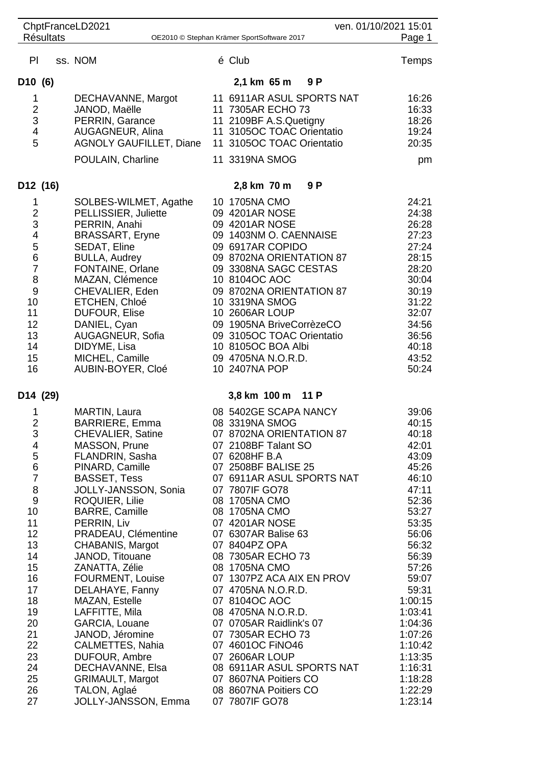| ChptFranceLD2021                                                                                                                                  |                                                                                                                                                                                                                                                                                                                                                                                                                                                        | ven. 01/10/2021 15:01                                                                                                                                                                                                                                                                                                                                                                                                                                                             |                                                                                                                                                                                                              |
|---------------------------------------------------------------------------------------------------------------------------------------------------|--------------------------------------------------------------------------------------------------------------------------------------------------------------------------------------------------------------------------------------------------------------------------------------------------------------------------------------------------------------------------------------------------------------------------------------------------------|-----------------------------------------------------------------------------------------------------------------------------------------------------------------------------------------------------------------------------------------------------------------------------------------------------------------------------------------------------------------------------------------------------------------------------------------------------------------------------------|--------------------------------------------------------------------------------------------------------------------------------------------------------------------------------------------------------------|
| <b>Résultats</b>                                                                                                                                  |                                                                                                                                                                                                                                                                                                                                                                                                                                                        | OE2010 © Stephan Krämer SportSoftware 2017                                                                                                                                                                                                                                                                                                                                                                                                                                        | Page 1                                                                                                                                                                                                       |
| PI                                                                                                                                                | ss. NOM                                                                                                                                                                                                                                                                                                                                                                                                                                                | é Club                                                                                                                                                                                                                                                                                                                                                                                                                                                                            | Temps                                                                                                                                                                                                        |
| D10(6)                                                                                                                                            |                                                                                                                                                                                                                                                                                                                                                                                                                                                        | 9 P<br>2,1 km 65 m                                                                                                                                                                                                                                                                                                                                                                                                                                                                |                                                                                                                                                                                                              |
| 1<br>$\overline{2}$<br>3<br>4<br>5                                                                                                                | DECHAVANNE, Margot<br>JANOD, Maëlle<br>PERRIN, Garance<br>AUGAGNEUR, Alina<br><b>AGNOLY GAUFILLET, Diane</b><br>POULAIN, Charline                                                                                                                                                                                                                                                                                                                      | 11 6911AR ASUL SPORTS NAT<br>11 7305AR ECHO 73<br>11 2109BF A.S.Quetigny<br>11 3105OC TOAC Orientatio<br>11 3105OC TOAC Orientatio<br>11 3319NA SMOG                                                                                                                                                                                                                                                                                                                              | 16:26<br>16:33<br>18:26<br>19:24<br>20:35<br>pm                                                                                                                                                              |
| D12 (16)                                                                                                                                          |                                                                                                                                                                                                                                                                                                                                                                                                                                                        | 2,8 km 70 m<br>9 P                                                                                                                                                                                                                                                                                                                                                                                                                                                                |                                                                                                                                                                                                              |
| 1<br>$\frac{2}{3}$<br>$\overline{\mathcal{L}}$<br>5<br>6<br>$\overline{7}$<br>8<br>$\overline{9}$<br>10<br>11<br>12<br>13<br>14<br>15<br>16       | SOLBES-WILMET, Agathe<br>PELLISSIER, Juliette<br>PERRIN, Anahi<br><b>BRASSART, Eryne</b><br>SEDAT, Eline<br><b>BULLA, Audrey</b><br>FONTAINE, Orlane<br>MAZAN, Clémence<br>CHEVALIER, Eden<br>ETCHEN, Chloé<br><b>DUFOUR, Elise</b><br>DANIEL, Cyan<br>AUGAGNEUR, Sofia<br>DIDYME, Lisa<br>MICHEL, Camille<br>AUBIN-BOYER, Cloé                                                                                                                        | 10 1705NA CMO<br>09 4201AR NOSE<br>09 4201AR NOSE<br>09 1403NM O. CAENNAISE<br>09 6917AR COPIDO<br>09 8702NA ORIENTATION 87<br>09 3308NA SAGC CESTAS<br>10 8104OC AOC<br>09 8702NA ORIENTATION 87<br>10 3319NA SMOG<br>10 2606AR LOUP<br>09 1905NA BriveCorrèzeCO<br>09 3105OC TOAC Orientatio<br>10 8105OC BOA Albi<br>09 4705NA N.O.R.D.<br>10 2407NA POP                                                                                                                       | 24:21<br>24:38<br>26:28<br>27:23<br>27:24<br>28:15<br>28:20<br>30:04<br>30:19<br>31:22<br>32:07<br>34:56<br>36:56<br>40:18<br>43:52<br>50:24                                                                 |
| D <sub>14</sub> (29)                                                                                                                              |                                                                                                                                                                                                                                                                                                                                                                                                                                                        | 3,8 km 100 m<br>$-11P$                                                                                                                                                                                                                                                                                                                                                                                                                                                            |                                                                                                                                                                                                              |
| 1<br>$\overline{2}$<br>3<br>4<br>5<br>6<br>$\overline{7}$<br>8<br>9<br>10<br>11<br>12<br>13<br>14<br>15<br>16<br>17<br>18<br>19<br>20<br>21<br>22 | MARTIN, Laura<br><b>BARRIERE, Emma</b><br><b>CHEVALIER, Satine</b><br>MASSON, Prune<br>FLANDRIN, Sasha<br>PINARD, Camille<br><b>BASSET, Tess</b><br>JOLLY-JANSSON, Sonia<br>ROQUIER, Lilie<br><b>BARRE, Camille</b><br>PERRIN, Liv<br>PRADEAU, Clémentine<br>CHABANIS, Margot<br>JANOD, Titouane<br>ZANATTA, Zélie<br>FOURMENT, Louise<br>DELAHAYE, Fanny<br>MAZAN, Estelle<br>LAFFITTE, Mila<br>GARCIA, Louane<br>JANOD, Jéromine<br>CALMETTES, Nahia | 08 5402GE SCAPA NANCY<br>08 3319NA SMOG<br>07 8702NA ORIENTATION 87<br>07 2108BF Talant SO<br>07 6208HF B.A<br>07 2508BF BALISE 25<br>07 6911AR ASUL SPORTS NAT<br>07 7807IF GO78<br>08 1705NA CMO<br>08 1705NA CMO<br>07 4201AR NOSE<br>07 6307AR Balise 63<br>07 8404PZ OPA<br>08 7305AR ECHO 73<br>08 1705NA CMO<br>07 1307PZ ACA AIX EN PROV<br>07 4705NA N.O.R.D.<br>07 8104OC AOC<br>08 4705NA N.O.R.D.<br>07 0705AR Raidlink's 07<br>07 7305AR ECHO 73<br>07 4601OC FINO46 | 39:06<br>40:15<br>40:18<br>42:01<br>43:09<br>45:26<br>46:10<br>47:11<br>52:36<br>53:27<br>53:35<br>56:06<br>56:32<br>56:39<br>57:26<br>59:07<br>59:31<br>1:00:15<br>1:03:41<br>1:04:36<br>1:07:26<br>1:10:42 |
| 23<br>24<br>25<br>26<br>27                                                                                                                        | DUFOUR, Ambre<br>DECHAVANNE, Elsa<br><b>GRIMAULT, Margot</b><br>TALON, Aglaé<br>JOLLY-JANSSON, Emma                                                                                                                                                                                                                                                                                                                                                    | 07 2606AR LOUP<br>08 6911AR ASUL SPORTS NAT<br>07 8607NA Poitiers CO<br>08 8607NA Poitiers CO<br>07 7807IF GO78                                                                                                                                                                                                                                                                                                                                                                   | 1:13:35<br>1:16:31<br>1:18:28<br>1:22:29<br>1:23:14                                                                                                                                                          |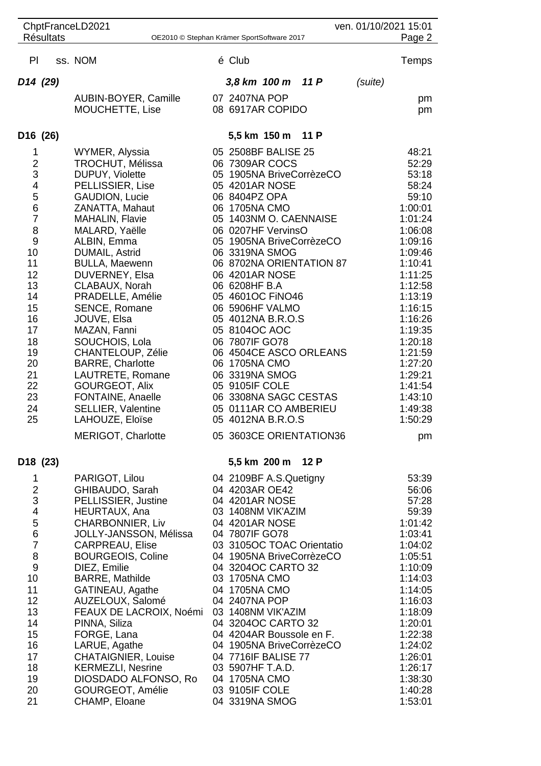|                               | <b>Résultats</b> | ChptFranceLD2021                                 |                                          |                                                | ven. 01/10/2021 15:01 |                    |
|-------------------------------|------------------|--------------------------------------------------|------------------------------------------|------------------------------------------------|-----------------------|--------------------|
|                               |                  | OE2010 © Stephan Krämer SportSoftware 2017       |                                          |                                                |                       | Page 2             |
| PI                            |                  | ss. NOM                                          | é Club                                   |                                                |                       | Temps              |
| D <sub>14</sub> (29)          |                  |                                                  | 3,8 km 100 m                             | 11 P                                           | (suite)               |                    |
|                               |                  | AUBIN-BOYER, Camille                             | 07 2407NA POP                            |                                                |                       | pm                 |
|                               |                  | MOUCHETTE, Lise                                  | 08 6917AR COPIDO                         |                                                |                       | pm                 |
| D <sub>16</sub> (26)          |                  |                                                  | 5,5 km 150 m                             | 11 P                                           |                       |                    |
| 1                             |                  | WYMER, Alyssia                                   | 05 2508BF BALISE 25                      |                                                |                       | 48:21              |
| $\overline{\mathbf{c}}$<br>3  |                  | <b>TROCHUT, Mélissa</b>                          | 06 7309AR COCS                           |                                                |                       | 52:29              |
| 4                             |                  | DUPUY, Violette<br>PELLISSIER, Lise              | 05 4201AR NOSE                           | 05 1905NA BriveCorrèzeCO                       |                       | 53:18<br>58:24     |
| 5                             |                  | <b>GAUDION, Lucie</b>                            | 06 8404PZ OPA                            |                                                |                       | 59:10              |
| 6                             |                  | ZANATTA, Mahaut                                  | 06 1705NA CMO                            |                                                |                       | 1:00:01            |
| $\overline{7}$                |                  | <b>MAHALIN, Flavie</b>                           |                                          | 05 1403NM O. CAENNAISE                         |                       | 1:01:24            |
| 8<br>$\overline{9}$           |                  | MALARD, Yaëlle<br>ALBIN, Emma                    | 06 0207HF VervinsO                       | 05 1905NA BriveCorrèzeCO                       |                       | 1:06:08<br>1:09:16 |
| 10                            |                  | DUMAIL, Astrid                                   | 06 3319NA SMOG                           |                                                |                       | 1:09:46            |
| 11                            |                  | <b>BULLA, Maewenn</b>                            |                                          | 06 8702NA ORIENTATION 87                       |                       | 1:10:41            |
| 12                            |                  | DUVERNEY, Elsa                                   | 06 4201AR NOSE                           |                                                |                       | 1:11:25            |
| 13<br>14                      |                  | CLABAUX, Norah<br>PRADELLE, Amélie               | 06 6208HF B.A<br>05 4601OC FINO46        |                                                |                       | 1:12:58<br>1:13:19 |
| 15                            |                  | SENCE, Romane                                    | 06 5906HF VALMO                          |                                                |                       | 1:16:15            |
| 16                            |                  | JOUVE, Elsa                                      | 05 4012NA B.R.O.S                        |                                                |                       | 1:16:26            |
| 17                            |                  | MAZAN, Fanni                                     | 05 8104OC AOC                            |                                                |                       | 1:19:35            |
| 18<br>19                      |                  | SOUCHOIS, Lola<br>CHANTELOUP, Zélie              | 06 7807IF GO78                           | 06 4504CE ASCO ORLEANS                         |                       | 1:20:18<br>1:21:59 |
| 20                            |                  | <b>BARRE, Charlotte</b>                          | 06 1705NA CMO                            |                                                |                       | 1:27:20            |
| 21                            |                  | LAUTRETE, Romane                                 | 06 3319NA SMOG                           |                                                |                       | 1:29:21            |
| 22                            |                  | GOURGEOT, Alix                                   | 05 9105IF COLE                           |                                                |                       | 1:41:54            |
| 23<br>24                      |                  | FONTAINE, Anaelle                                |                                          | 06 3308NA SAGC CESTAS<br>05 0111AR CO AMBERIEU |                       | 1:43:10<br>1:49:38 |
| 25                            |                  | <b>SELLIER, Valentine</b><br>LAHOUZE, Eloïse     | 05 4012NA B.R.O.S                        |                                                |                       | 1:50:29            |
|                               |                  | MERIGOT, Charlotte                               |                                          | 05 3603CE ORIENTATION36                        |                       | pm                 |
| D <sub>18</sub> (23)          |                  |                                                  | 5,5 km 200 m                             | 12 P                                           |                       |                    |
| 1                             |                  | PARIGOT, Lilou                                   | 04 2109BF A.S.Quetigny                   |                                                |                       | 53:39              |
| $\overline{2}$                |                  | GHIBAUDO, Sarah                                  | 04 4203AR OE42                           |                                                |                       | 56:06              |
| 3<br>$\overline{\mathcal{A}}$ |                  | PELLISSIER, Justine<br>HEURTAUX, Ana             | 04 4201AR NOSE<br>03 1408NM VIK'AZIM     |                                                |                       | 57:28<br>59:39     |
| 5                             |                  | CHARBONNIER, Liv                                 | 04 4201AR NOSE                           |                                                |                       | 1:01:42            |
| $\,$ 6 $\,$                   |                  | JOLLY-JANSSON, Mélissa                           | 04 7807IF GO78                           |                                                |                       | 1:03:41            |
| $\overline{7}$                |                  | <b>CARPREAU, Elise</b>                           |                                          | 03 3105OC TOAC Orientatio                      |                       | 1:04:02            |
| 8<br>9                        |                  | <b>BOURGEOIS, Coline</b><br>DIEZ, Emilie         | 04 3204OC CARTO 32                       | 04 1905NA BriveCorrèzeCO                       |                       | 1:05:51<br>1:10:09 |
| 10                            |                  | <b>BARRE, Mathilde</b>                           | 03 1705NA CMO                            |                                                |                       | 1:14:03            |
| 11                            |                  | GATINEAU, Agathe                                 | 04 1705NA CMO                            |                                                |                       | 1:14:05            |
| 12                            |                  | AUZELOUX, Salomé                                 | 04 2407NA POP                            |                                                |                       | 1:16:03            |
| 13<br>14                      |                  | FEAUX DE LACROIX, Noémi<br>PINNA, Siliza         | 03 1408NM VIK'AZIM<br>04 3204OC CARTO 32 |                                                |                       | 1:18:09<br>1:20:01 |
| 15                            |                  | FORGE, Lana                                      |                                          | 04 4204AR Boussole en F.                       |                       | 1:22:38            |
| 16                            |                  | LARUE, Agathe                                    |                                          | 04 1905NA BriveCorrèzeCO                       |                       | 1:24:02            |
| 17                            |                  | <b>CHATAIGNIER, Louise</b>                       | 04 7716IF BALISE 77                      |                                                |                       | 1:26:01            |
| 18<br>19                      |                  | <b>KERMEZLI, Nesrine</b><br>DIOSDADO ALFONSO, Ro | 03 5907HF T.A.D.<br>04 1705NA CMO        |                                                |                       | 1:26:17<br>1:38:30 |
| 20                            |                  | GOURGEOT, Amélie                                 | 03 9105IF COLE                           |                                                |                       | 1:40:28            |
| 21                            |                  | CHAMP, Eloane                                    | 04 3319NA SMOG                           |                                                |                       | 1:53:01            |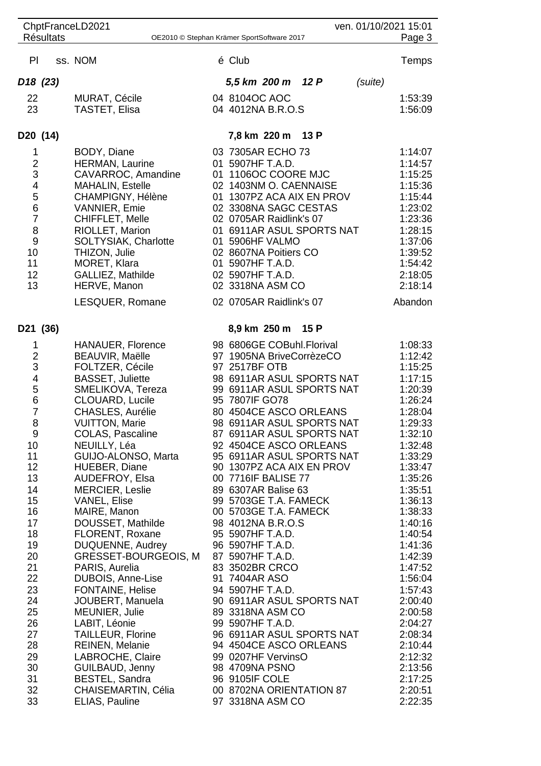| ven. 01/10/2021 15:01<br>ChptFranceLD2021 |  |                                               |  |                                                     |      |         |                    |
|-------------------------------------------|--|-----------------------------------------------|--|-----------------------------------------------------|------|---------|--------------------|
| <b>Résultats</b>                          |  |                                               |  | OE2010 © Stephan Krämer SportSoftware 2017          |      |         | Page 3             |
| PI                                        |  | ss. NOM                                       |  | é Club                                              |      |         | Temps              |
| D <sub>18</sub> (23)                      |  |                                               |  | 5,5 km 200 m 12 P                                   |      | (suite) |                    |
| 22                                        |  | <b>MURAT, Cécile</b>                          |  | 04 8104OC AOC                                       |      |         | 1:53:39            |
| 23                                        |  | <b>TASTET, Elisa</b>                          |  | 04 4012NA B.R.O.S                                   |      |         | 1:56:09            |
| D <sub>20</sub> (14)                      |  |                                               |  | 7,8 km 220 m 13 P                                   |      |         |                    |
| 1                                         |  | BODY, Diane                                   |  | 03 7305AR ECHO 73                                   |      |         | 1:14:07            |
| $\overline{c}$                            |  | HERMAN, Laurine                               |  | 01 5907HF T.A.D.                                    |      |         | 1:14:57            |
| 3<br>4                                    |  | CAVARROC, Amandine<br><b>MAHALIN, Estelle</b> |  | 01 1106OC COORE MJC<br>02 1403NM O. CAENNAISE       |      |         | 1:15:25<br>1:15:36 |
| 5                                         |  | CHAMPIGNY, Hélène                             |  | 01 1307PZ ACA AIX EN PROV                           |      |         | 1:15:44            |
| 6                                         |  | <b>VANNIER, Emie</b>                          |  | 02 3308NA SAGC CESTAS                               |      |         | 1:23:02            |
| $\overline{7}$                            |  | CHIFFLET, Melle                               |  | 02 0705AR Raidlink's 07                             |      |         | 1:23:36            |
| 8                                         |  | RIOLLET, Marion                               |  | 01 6911AR ASUL SPORTS NAT                           |      |         | 1:28:15            |
| 9                                         |  | SOLTYSIAK, Charlotte                          |  | 01 5906HF VALMO                                     |      |         | 1:37:06            |
| 10                                        |  | THIZON, Julie                                 |  | 02 8607NA Poitiers CO                               |      |         | 1:39:52            |
| 11<br>12                                  |  | MORET, Klara<br>GALLIEZ, Mathilde             |  | 01 5907HF T.A.D.<br>02 5907HF T.A.D.                |      |         | 1:54:42<br>2:18:05 |
| 13                                        |  | HERVE, Manon                                  |  | 02 3318NA ASM CO                                    |      |         | 2:18:14            |
|                                           |  | LESQUER, Romane                               |  | 02 0705AR Raidlink's 07                             |      |         | Abandon            |
| D21 (36)                                  |  |                                               |  | 8,9 km 250 m                                        | 15 P |         |                    |
| 1                                         |  | <b>HANAUER, Florence</b>                      |  | 98 6806GE COBuhl.Florival                           |      |         | 1:08:33            |
| $\overline{\mathbf{c}}$<br>3              |  | BEAUVIR, Maëlle<br>FOLTZER, Cécile            |  | 97 1905NA BriveCorrèzeCO<br>97 2517BF OTB           |      |         | 1:12:42<br>1:15:25 |
| 4                                         |  | <b>BASSET, Juliette</b>                       |  | 98 6911AR ASUL SPORTS NAT                           |      |         | 1:17:15            |
| 5                                         |  | SMELIKOVA, Tereza                             |  | 99 6911AR ASUL SPORTS NAT                           |      |         | 1:20:39            |
| 6                                         |  | CLOUARD, Lucile                               |  | 95 7807IF GO78                                      |      |         | 1:26:24            |
| $\overline{7}$                            |  | CHASLES, Aurélie                              |  | 80 4504CE ASCO ORLEANS                              |      |         | 1:28:04            |
| 8                                         |  | <b>VUITTON, Marie</b>                         |  | 98 6911AR ASUL SPORTS NAT                           |      |         | 1:29:33            |
| 9<br>10                                   |  | COLAS, Pascaline<br>NEUILLY, Léa              |  | 87 6911AR ASUL SPORTS NAT<br>92 4504CE ASCO ORLEANS |      |         | 1:32:10<br>1:32:48 |
| 11                                        |  | GUIJO-ALONSO, Marta                           |  | 95 6911AR ASUL SPORTS NAT                           |      |         | 1:33:29            |
| 12                                        |  | HUEBER, Diane                                 |  | 90 1307PZ ACA AIX EN PROV                           |      |         | 1:33:47            |
| 13                                        |  | AUDEFROY, Elsa                                |  | 00 7716IF BALISE 77                                 |      |         | 1:35:26            |
| 14                                        |  | <b>MERCIER, Leslie</b>                        |  | 89 6307AR Balise 63                                 |      |         | 1:35:51            |
| 15<br>16                                  |  | <b>VANEL, Elise</b><br>MAIRE, Manon           |  | 99 5703GE T.A. FAMECK<br>00 5703GE T.A. FAMECK      |      |         | 1:36:13<br>1:38:33 |
| 17                                        |  | DOUSSET, Mathilde                             |  | 98 4012NA B.R.O.S                                   |      |         | 1:40:16            |
| 18                                        |  | FLORENT, Roxane                               |  | 95 5907HF T.A.D.                                    |      |         | 1:40:54            |
| 19                                        |  | DUQUENNE, Audrey                              |  | 96 5907HF T.A.D.                                    |      |         | 1:41:36            |
| 20                                        |  | <b>GRESSET-BOURGEOIS, M</b>                   |  | 87 5907HF T.A.D.                                    |      |         | 1:42:39            |
| 21<br>22                                  |  | PARIS, Aurelia                                |  | 83 3502BR CRCO<br>91 7404AR ASO                     |      |         | 1:47:52            |
| 23                                        |  | DUBOIS, Anne-Lise<br>FONTAINE, Helise         |  | 94 5907HF T.A.D.                                    |      |         | 1:56:04<br>1:57:43 |
| 24                                        |  | JOUBERT, Manuela                              |  | 90 6911AR ASUL SPORTS NAT                           |      |         | 2:00:40            |
| 25                                        |  | MEUNIER, Julie                                |  | 89 3318NA ASM CO                                    |      |         | 2:00:58            |
| 26                                        |  | LABIT, Léonie                                 |  | 99 5907HF T.A.D.                                    |      |         | 2:04:27            |
| 27                                        |  | <b>TAILLEUR, Florine</b>                      |  | 96 6911AR ASUL SPORTS NAT                           |      |         | 2:08:34            |
| 28                                        |  | <b>REINEN, Melanie</b>                        |  | 94 4504CE ASCO ORLEANS                              |      |         | 2:10:44            |
| 29<br>30                                  |  | LABROCHE, Claire<br>GUILBAUD, Jenny           |  | 99 0207HF VervinsO<br>98 4709NA PSNO                |      |         | 2:12:32<br>2:13:56 |
| 31                                        |  | BESTEL, Sandra                                |  | 96 9105IF COLE                                      |      |         | 2:17:25            |
| 32                                        |  | CHAISEMARTIN, Célia                           |  | 00 8702NA ORIENTATION 87                            |      |         | 2:20:51            |
| 33                                        |  | ELIAS, Pauline                                |  | 97 3318NA ASM CO                                    |      |         | 2:22:35            |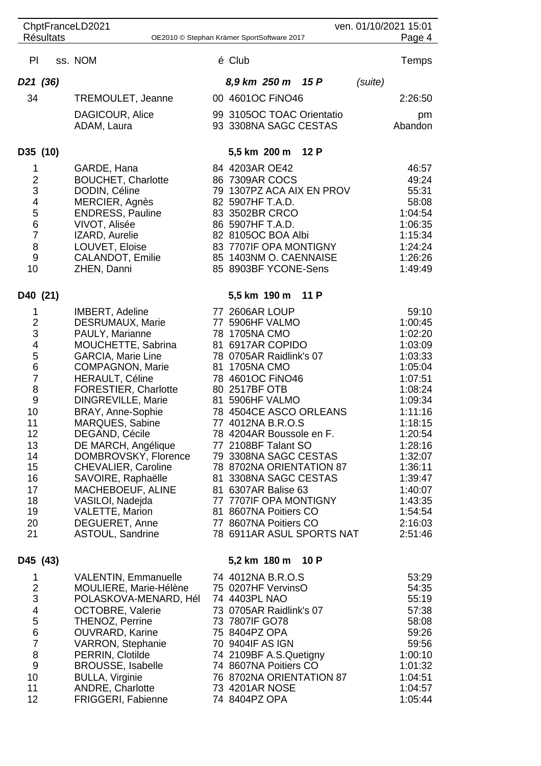|                                                                                                                                                                     |  | ChptFranceLD2021                                                                                                                                                                                                                                                                                                                                                                                                                                                                          |                                                                                                                                                                                                                                                                                                                                                                                                                                                                                            |      |         | ven. 01/10/2021 15:01                                                                                                                                                                                                             |
|---------------------------------------------------------------------------------------------------------------------------------------------------------------------|--|-------------------------------------------------------------------------------------------------------------------------------------------------------------------------------------------------------------------------------------------------------------------------------------------------------------------------------------------------------------------------------------------------------------------------------------------------------------------------------------------|--------------------------------------------------------------------------------------------------------------------------------------------------------------------------------------------------------------------------------------------------------------------------------------------------------------------------------------------------------------------------------------------------------------------------------------------------------------------------------------------|------|---------|-----------------------------------------------------------------------------------------------------------------------------------------------------------------------------------------------------------------------------------|
| <b>Résultats</b>                                                                                                                                                    |  |                                                                                                                                                                                                                                                                                                                                                                                                                                                                                           | OE2010 © Stephan Krämer SportSoftware 2017                                                                                                                                                                                                                                                                                                                                                                                                                                                 |      |         | Page 4                                                                                                                                                                                                                            |
| PI                                                                                                                                                                  |  | ss. NOM                                                                                                                                                                                                                                                                                                                                                                                                                                                                                   | é Club                                                                                                                                                                                                                                                                                                                                                                                                                                                                                     |      |         | Temps                                                                                                                                                                                                                             |
| D <sub>21</sub> (36)                                                                                                                                                |  |                                                                                                                                                                                                                                                                                                                                                                                                                                                                                           | 8,9 km 250 m 15 P                                                                                                                                                                                                                                                                                                                                                                                                                                                                          |      | (suite) |                                                                                                                                                                                                                                   |
| 34                                                                                                                                                                  |  | TREMOULET, Jeanne                                                                                                                                                                                                                                                                                                                                                                                                                                                                         | 00 4601OC FINO46                                                                                                                                                                                                                                                                                                                                                                                                                                                                           |      |         | 2:26:50                                                                                                                                                                                                                           |
|                                                                                                                                                                     |  | DAGICOUR, Alice<br>ADAM, Laura                                                                                                                                                                                                                                                                                                                                                                                                                                                            | 99 3105OC TOAC Orientatio<br>93 3308NA SAGC CESTAS                                                                                                                                                                                                                                                                                                                                                                                                                                         |      |         | pm<br>Abandon                                                                                                                                                                                                                     |
| D35 (10)                                                                                                                                                            |  |                                                                                                                                                                                                                                                                                                                                                                                                                                                                                           | 5,5 km 200 m                                                                                                                                                                                                                                                                                                                                                                                                                                                                               | 12 P |         |                                                                                                                                                                                                                                   |
| 1<br>$\begin{array}{c} 2 \\ 3 \\ 4 \end{array}$<br>$\frac{5}{6}$<br>$\overline{7}$<br>8<br>$\boldsymbol{9}$<br>10                                                   |  | GARDE, Hana<br><b>BOUCHET, Charlotte</b><br>DODIN, Céline<br>MERCIER, Agnès<br><b>ENDRESS, Pauline</b><br>VIVOT, Alisée<br>IZARD, Aurelie<br>LOUVET, Eloise<br>CALANDOT, Emilie<br>ZHEN, Danni                                                                                                                                                                                                                                                                                            | 84 4203AR OE42<br>86 7309AR COCS<br>79 1307PZ ACA AIX EN PROV<br>82 5907HF T.A.D.<br>83 3502BR CRCO<br>86 5907HF T.A.D.<br>82 8105OC BOA Albi<br>83 7707IF OPA MONTIGNY<br>85 1403NM O. CAENNAISE<br>85 8903BF YCONE-Sens                                                                                                                                                                                                                                                                  |      |         | 46:57<br>49:24<br>55:31<br>58:08<br>1:04:54<br>1:06:35<br>1:15:34<br>1:24:24<br>1:26:26<br>1:49:49                                                                                                                                |
| D40 (21)                                                                                                                                                            |  |                                                                                                                                                                                                                                                                                                                                                                                                                                                                                           | 5,5 km 190 m                                                                                                                                                                                                                                                                                                                                                                                                                                                                               | 11 P |         |                                                                                                                                                                                                                                   |
| 1<br>$\overline{\mathbf{c}}$<br>3<br>4<br>5<br>6<br>$\overline{7}$<br>8<br>$\boldsymbol{9}$<br>10<br>11<br>12<br>13<br>14<br>15<br>16<br>17<br>18<br>19<br>20<br>21 |  | IMBERT, Adeline<br><b>DESRUMAUX, Marie</b><br>PAULY, Marianne<br>MOUCHETTE, Sabrina<br><b>GARCIA, Marie Line</b><br>COMPAGNON, Marie<br><b>HERAULT, Céline</b><br>FORESTIER, Charlotte<br>DINGREVILLE, Marie<br>BRAY, Anne-Sophie<br>MARQUES, Sabine<br>DEGAND, Cécile<br>DE MARCH, Angélique<br>DOMBROVSKY, Florence<br><b>CHEVALIER, Caroline</b><br>SAVOIRE, Raphaëlle<br>MACHEBOEUF, ALINE<br>VASILOI, Nadejda<br><b>VALETTE, Marion</b><br>DEGUERET, Anne<br><b>ASTOUL, Sandrine</b> | 77 2606AR LOUP<br>77 5906HF VALMO<br>78 1705NA CMO<br>81 6917AR COPIDO<br>78 0705AR Raidlink's 07<br>81 1705NA CMO<br>78 4601OC FINO46<br>80 2517BF OTB<br>81 5906HF VALMO<br>78 4504CE ASCO ORLEANS<br>77 4012NA B.R.O.S<br>78 4204AR Boussole en F.<br>77 2108BF Talant SO<br>79 3308NA SAGC CESTAS<br>78 8702NA ORIENTATION 87<br>81 3308NA SAGC CESTAS<br>81 6307AR Balise 63<br>77 7707IF OPA MONTIGNY<br>81 8607NA Poitiers CO<br>77 8607NA Poitiers CO<br>78 6911AR ASUL SPORTS NAT |      |         | 59:10<br>1:00:45<br>1:02:20<br>1:03:09<br>1:03:33<br>1:05:04<br>1:07:51<br>1:08:24<br>1:09:34<br>1:11:16<br>1:18:15<br>1:20:54<br>1:28:16<br>1:32:07<br>1:36:11<br>1:39:47<br>1:40:07<br>1:43:35<br>1:54:54<br>2:16:03<br>2:51:46 |
| D45 (43)                                                                                                                                                            |  |                                                                                                                                                                                                                                                                                                                                                                                                                                                                                           | 5,2 km 180 m 10 P                                                                                                                                                                                                                                                                                                                                                                                                                                                                          |      |         |                                                                                                                                                                                                                                   |
| 1<br>$\frac{2}{3}$<br>$\overline{\mathcal{A}}$<br>$\frac{5}{6}$<br>$\overline{7}$<br>8<br>9<br>10<br>11<br>12                                                       |  | VALENTIN, Emmanuelle<br>MOULIERE, Marie-Hélène<br>POLASKOVA-MENARD, Hél<br><b>OCTOBRE, Valerie</b><br>THENOZ, Perrine<br><b>OUVRARD, Karine</b><br><b>VARRON, Stephanie</b><br>PERRIN, Clotilde<br>BROUSSE, Isabelle<br><b>BULLA, Virginie</b><br>ANDRE, Charlotte<br>FRIGGERI, Fabienne                                                                                                                                                                                                  | 74 4012NA B.R.O.S<br>75 0207HF VervinsO<br>74 4403PL NAO<br>73 0705AR Raidlink's 07<br>73 7807IF GO78<br>75 8404PZ OPA<br>70 9404IF AS IGN<br>74 2109BF A.S.Quetigny<br>74 8607NA Poitiers CO<br>76 8702NA ORIENTATION 87<br>73 4201AR NOSE<br>74 8404PZ OPA                                                                                                                                                                                                                               |      |         | 53:29<br>54:35<br>55:19<br>57:38<br>58:08<br>59:26<br>59:56<br>1:00:10<br>1:01:32<br>1:04:51<br>1:04:57<br>1:05:44                                                                                                                |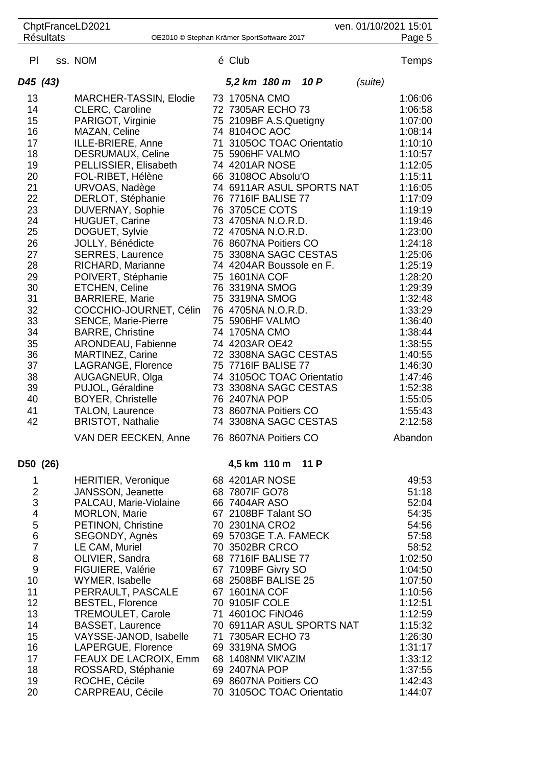|                              |                  | ChptFranceLD2021                                     |                                                  |      |         | ven. 01/10/2021 15:01 |
|------------------------------|------------------|------------------------------------------------------|--------------------------------------------------|------|---------|-----------------------|
|                              | <b>Résultats</b> |                                                      | OE2010 © Stephan Krämer SportSoftware 2017       |      |         | Page 5                |
| PI                           |                  | ss. NOM                                              | é Club                                           |      |         | Temps                 |
| D45 (43)                     |                  |                                                      | 5,2 km 180 m                                     | 10 P | (suite) |                       |
| 13                           |                  | MARCHER-TASSIN, Elodie                               | 73 1705NA CMO                                    |      |         | 1:06:06               |
| 14                           |                  | CLERC, Caroline                                      | 72 7305AR ECHO 73                                |      |         | 1:06:58               |
| 15                           |                  | PARIGOT, Virginie                                    | 75 2109BF A.S.Quetigny                           |      |         | 1:07:00               |
| 16                           |                  | MAZAN, Celine                                        | 74 8104OC AOC                                    |      |         | 1:08:14               |
| 17                           |                  | ILLE-BRIERE, Anne                                    | 71 3105OC TOAC Orientatio                        |      |         | 1:10:10               |
| 18                           |                  | <b>DESRUMAUX, Celine</b>                             | 75 5906HF VALMO                                  |      |         | 1:10:57               |
| 19                           |                  | PELLISSIER, Elisabeth                                | 74 4201AR NOSE                                   |      |         | 1:12:05               |
| 20                           |                  | FOL-RIBET, Hélène                                    | 66 3108OC Absolu'O                               |      |         | 1:15:11               |
| 21<br>22                     |                  | URVOAS, Nadège<br>DERLOT, Stéphanie                  | 74 6911AR ASUL SPORTS NAT<br>76 7716IF BALISE 77 |      |         | 1:16:05<br>1:17:09    |
| 23                           |                  | DUVERNAY, Sophie                                     | 76 3705CE COTS                                   |      |         | 1:19:19               |
| 24                           |                  | <b>HUGUET, Carine</b>                                | 73 4705NA N.O.R.D.                               |      |         | 1:19:46               |
| 25                           |                  | DOGUET, Sylvie                                       | 72 4705NA N.O.R.D.                               |      |         | 1:23:00               |
| 26                           |                  | JOLLY, Bénédicte                                     | 76 8607NA Poitiers CO                            |      |         | 1:24:18               |
| 27                           |                  | <b>SERRES, Laurence</b>                              | 75 3308NA SAGC CESTAS                            |      |         | 1:25:06               |
| 28                           |                  | RICHARD, Marianne                                    | 74 4204AR Boussole en F.                         |      |         | 1:25:19               |
| 29                           |                  | POIVERT, Stéphanie                                   | 75 1601NA COF                                    |      |         | 1:28:20               |
| 30                           |                  | <b>ETCHEN, Celine</b>                                | 76 3319NA SMOG                                   |      |         | 1:29:39               |
| 31                           |                  | <b>BARRIERE, Marie</b>                               | 75 3319NA SMOG                                   |      |         | 1:32:48               |
| 32<br>33                     |                  | COCCHIO-JOURNET, Célin<br><b>SENCE, Marie-Pierre</b> | 76 4705NA N.O.R.D.<br>75 5906HF VALMO            |      |         | 1:33:29<br>1:36:40    |
| 34                           |                  | <b>BARRE, Christine</b>                              | 74 1705NA CMO                                    |      |         | 1:38:44               |
| 35                           |                  | ARONDEAU, Fabienne                                   | 74 4203AR OE42                                   |      |         | 1:38:55               |
| 36                           |                  | <b>MARTINEZ, Carine</b>                              | 72 3308NA SAGC CESTAS                            |      |         | 1:40:55               |
| 37                           |                  | LAGRANGE, Florence                                   | 75 7716IF BALISE 77                              |      |         | 1:46:30               |
| 38                           |                  | AUGAGNEUR, Olga                                      | 74 3105OC TOAC Orientatio                        |      |         | 1:47:46               |
| 39                           |                  | PUJOL, Géraldine                                     | 73 3308NA SAGC CESTAS                            |      |         | 1:52:38               |
| 40                           |                  | <b>BOYER, Christelle</b>                             | 76 2407NA POP                                    |      |         | 1:55:05               |
| 41<br>42                     |                  | <b>TALON, Laurence</b>                               | 73 8607NA Poitiers CO                            |      |         | 1:55:43<br>2:12:58    |
|                              |                  | <b>BRISTOT, Nathalie</b><br>VAN DER EECKEN, Anne     | 74 3308NA SAGC CESTAS<br>76 8607NA Poitiers CO   |      |         | Abandon               |
|                              |                  |                                                      |                                                  |      |         |                       |
| D50 (26)                     |                  |                                                      | 4,5 km 110 m 11 P                                |      |         |                       |
| 1                            |                  | <b>HERITIER, Veronique</b>                           | 68 4201AR NOSE                                   |      |         | 49:53                 |
| $\overline{\mathbf{c}}$      |                  | JANSSON, Jeanette                                    | 68 7807IF GO78                                   |      |         | 51:18                 |
| 3<br>$\overline{\mathbf{4}}$ |                  | PALCAU, Marie-Violaine<br>MORLON, Marie              | 66 7404AR ASO<br>67 2108BF Talant SO             |      |         | 52:04<br>54:35        |
| 5                            |                  | PETINON, Christine                                   | 70 2301NA CRO2                                   |      |         | 54:56                 |
| $6\phantom{1}6$              |                  | SEGONDY, Agnès                                       | 69 5703GE T.A. FAMECK                            |      |         | 57:58                 |
| $\overline{7}$               |                  | LE CAM, Muriel                                       | 70 3502BR CRCO                                   |      |         | 58:52                 |
| 8                            |                  | OLIVIER, Sandra                                      | 68 7716IF BALISE 77                              |      |         | 1:02:50               |
| $9$                          |                  | FIGUIERE, Valérie                                    | 67 7109BF Givry SO                               |      |         | 1:04:50               |
| 10                           |                  | WYMER, Isabelle                                      | 68 2508BF BALISE 25                              |      |         | 1:07:50               |
| 11                           |                  | PERRAULT, PASCALE                                    | 67 1601NA COF                                    |      |         | 1:10:56               |
| 12<br>13                     |                  | <b>BESTEL, Florence</b><br><b>TREMOULET, Carole</b>  | 70 9105IF COLE<br>71 4601OC FINO46               |      |         | 1:12:51<br>1:12:59    |
| 14                           |                  | <b>BASSET, Laurence</b>                              | 70 6911AR ASUL SPORTS NAT                        |      |         | 1:15:32               |
| 15                           |                  | VAYSSE-JANOD, Isabelle                               | 71 7305AR ECHO 73                                |      |         | 1:26:30               |
| 16                           |                  | LAPERGUE, Florence                                   | 69 3319NA SMOG                                   |      |         | 1:31:17               |
| 17                           |                  | FEAUX DE LACROIX, Emm                                | 68 1408NM VIK'AZIM                               |      |         | 1:33:12               |
| 18                           |                  | ROSSARD, Stéphanie                                   | 69 2407NA POP                                    |      |         | 1:37:55               |
| 19                           |                  | ROCHE, Cécile                                        | 69 8607NA Poitiers CO                            |      |         | 1:42:43               |
| 20                           |                  | <b>CARPREAU, Cécile</b>                              | 70 3105OC TOAC Orientatio                        |      |         | 1:44:07               |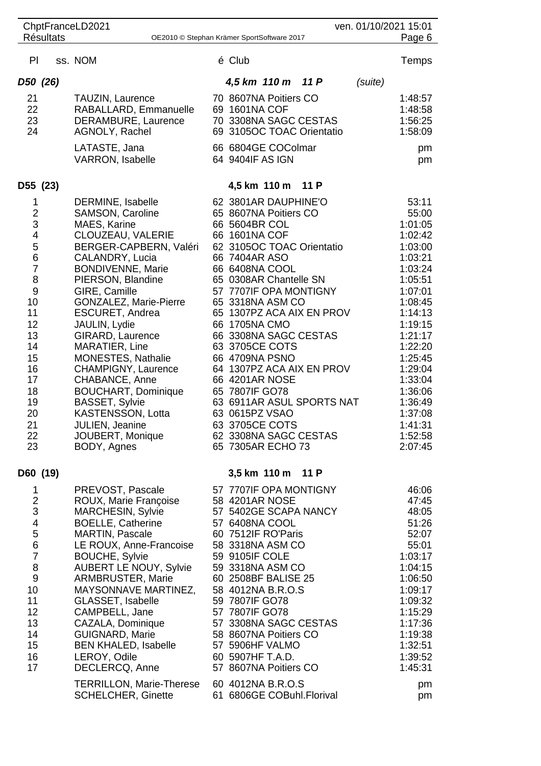|                                                                                                                                                   | <b>Résultats</b> | ChptFranceLD2021                                                                                                                                                                                                                                                                                                                                                                                                                                                                                                    | OE2010 © Stephan Krämer SportSoftware 2017                                                                                                                                                                                                                                                                                                                                                                                                                                                                         |      | ven. 01/10/2021 15:01 | Page 6                                                                                                                                                                                                                                                |
|---------------------------------------------------------------------------------------------------------------------------------------------------|------------------|---------------------------------------------------------------------------------------------------------------------------------------------------------------------------------------------------------------------------------------------------------------------------------------------------------------------------------------------------------------------------------------------------------------------------------------------------------------------------------------------------------------------|--------------------------------------------------------------------------------------------------------------------------------------------------------------------------------------------------------------------------------------------------------------------------------------------------------------------------------------------------------------------------------------------------------------------------------------------------------------------------------------------------------------------|------|-----------------------|-------------------------------------------------------------------------------------------------------------------------------------------------------------------------------------------------------------------------------------------------------|
|                                                                                                                                                   |                  |                                                                                                                                                                                                                                                                                                                                                                                                                                                                                                                     |                                                                                                                                                                                                                                                                                                                                                                                                                                                                                                                    |      |                       |                                                                                                                                                                                                                                                       |
| PI                                                                                                                                                |                  | ss. NOM                                                                                                                                                                                                                                                                                                                                                                                                                                                                                                             | é Club                                                                                                                                                                                                                                                                                                                                                                                                                                                                                                             |      |                       | Temps                                                                                                                                                                                                                                                 |
| D50 (26)                                                                                                                                          |                  |                                                                                                                                                                                                                                                                                                                                                                                                                                                                                                                     | 4,5 km 110 m                                                                                                                                                                                                                                                                                                                                                                                                                                                                                                       | 11P  | (suite)               |                                                                                                                                                                                                                                                       |
| 21<br>22<br>23<br>24                                                                                                                              |                  | TAUZIN, Laurence<br>RABALLARD, Emmanuelle<br>DERAMBURE, Laurence<br>AGNOLY, Rachel<br>LATASTE, Jana                                                                                                                                                                                                                                                                                                                                                                                                                 | 70 8607NA Poitiers CO<br>69 1601NA COF<br>70 3308NA SAGC CESTAS<br>69 3105OC TOAC Orientatio<br>66 6804GE COColmar                                                                                                                                                                                                                                                                                                                                                                                                 |      |                       | 1:48:57<br>1:48:58<br>1:56:25<br>1:58:09<br>pm                                                                                                                                                                                                        |
|                                                                                                                                                   |                  | <b>VARRON, Isabelle</b>                                                                                                                                                                                                                                                                                                                                                                                                                                                                                             | 64 9404IF AS IGN                                                                                                                                                                                                                                                                                                                                                                                                                                                                                                   |      |                       | pm                                                                                                                                                                                                                                                    |
| D55 (23)                                                                                                                                          |                  |                                                                                                                                                                                                                                                                                                                                                                                                                                                                                                                     | 4,5 km 110 m                                                                                                                                                                                                                                                                                                                                                                                                                                                                                                       | 11 P |                       |                                                                                                                                                                                                                                                       |
| 1<br>$\frac{2}{3}$<br>4<br>5<br>6<br>$\overline{7}$<br>8<br>9<br>10<br>11<br>12<br>13<br>14<br>15<br>16<br>17<br>18<br>19<br>20<br>21<br>22<br>23 |                  | DERMINE, Isabelle<br>SAMSON, Caroline<br>MAES, Karine<br>CLOUZEAU, VALERIE<br>BERGER-CAPBERN, Valéri<br>CALANDRY, Lucia<br><b>BONDIVENNE, Marie</b><br>PIERSON, Blandine<br>GIRE, Camille<br>GONZALEZ, Marie-Pierre<br>ESCURET, Andrea<br>JAULIN, Lydie<br>GIRARD, Laurence<br>MARATIER, Line<br><b>MONESTES, Nathalie</b><br><b>CHAMPIGNY, Laurence</b><br>CHABANCE, Anne<br><b>BOUCHART, Dominique</b><br><b>BASSET, Sylvie</b><br>KASTENSSON, Lotta<br><b>JULIEN, Jeanine</b><br>JOUBERT, Monique<br>BODY, Agnes | 62 3801AR DAUPHINE'O<br>65 8607NA Poitiers CO<br>66 5604BR COL<br>66 1601NA COF<br>62 3105OC TOAC Orientatio<br>66 7404AR ASO<br>66 6408NA COOL<br>65 0308AR Chantelle SN<br>57 7707IF OPA MONTIGNY<br>65 3318NA ASM CO<br>65 1307PZ ACA AIX EN PROV<br>66 1705NA CMO<br>66 3308NA SAGC CESTAS<br>63 3705CE COTS<br>66 4709NA PSNO<br>64 1307PZ ACA AIX EN PROV<br>66 4201AR NOSE<br>65 7807IF GO78<br>63 6911AR ASUL SPORTS NAT<br>63 0615PZ VSAO<br>63 3705CE COTS<br>62 3308NA SAGC CESTAS<br>65 7305AR ECHO 73 |      |                       | 53:11<br>55:00<br>1:01:05<br>1:02:42<br>1:03:00<br>1:03:21<br>1:03:24<br>1:05:51<br>1:07:01<br>1:08:45<br>1:14:13<br>1:19:15<br>1:21:17<br>1:22:20<br>1:25:45<br>1:29:04<br>1:33:04<br>1:36:06<br>1:36:49<br>1:37:08<br>1:41:31<br>1:52:58<br>2:07:45 |
| D60 (19)                                                                                                                                          |                  |                                                                                                                                                                                                                                                                                                                                                                                                                                                                                                                     | 3,5 km 110 m 11 P                                                                                                                                                                                                                                                                                                                                                                                                                                                                                                  |      |                       |                                                                                                                                                                                                                                                       |
| 1<br>$\frac{2}{3}$<br>4567<br>8<br>9<br>10<br>11<br>12<br>13<br>14<br>15<br>16<br>17                                                              |                  | PREVOST, Pascale<br>ROUX, Marie Françoise<br><b>MARCHESIN, Sylvie</b><br><b>BOELLE, Catherine</b><br><b>MARTIN, Pascale</b><br>LE ROUX, Anne-Francoise<br><b>BOUCHE, Sylvie</b><br><b>AUBERT LE NOUY, Sylvie</b><br><b>ARMBRUSTER, Marie</b><br>MAYSONNAVE MARTINEZ,<br><b>GLASSET, Isabelle</b><br>CAMPBELL, Jane<br>CAZALA, Dominique<br><b>GUIGNARD, Marie</b><br><b>BEN KHALED, Isabelle</b><br>LEROY, Odile<br>DECLERCQ, Anne<br><b>TERRILLON, Marie-Therese</b>                                               | 57 7707IF OPA MONTIGNY<br>58 4201AR NOSE<br>57 5402GE SCAPA NANCY<br>57 6408NA COOL<br>60 7512IF RO'Paris<br>58 3318NA ASM CO<br>59 9105IF COLE<br>59 3318NA ASM CO<br>60 2508BF BALISE 25<br>58 4012NA B.R.O.S<br>59 7807IF GO78<br>57 7807IF GO78<br>57 3308NA SAGC CESTAS<br>58 8607NA Poitiers CO<br>57 5906HF VALMO<br>60 5907HF T.A.D.<br>57 8607NA Poitiers CO<br>60 4012NA B.R.O.S                                                                                                                         |      |                       | 46:06<br>47:45<br>48:05<br>51:26<br>52:07<br>55:01<br>1:03:17<br>1:04:15<br>1:06:50<br>1:09:17<br>1:09:32<br>1:15:29<br>1:17:36<br>1:19:38<br>1:32:51<br>1:39:52<br>1:45:31<br>pm                                                                     |
|                                                                                                                                                   |                  | <b>SCHELCHER, Ginette</b>                                                                                                                                                                                                                                                                                                                                                                                                                                                                                           | 61 6806GE COBuhl.Florival                                                                                                                                                                                                                                                                                                                                                                                                                                                                                          |      |                       | pm                                                                                                                                                                                                                                                    |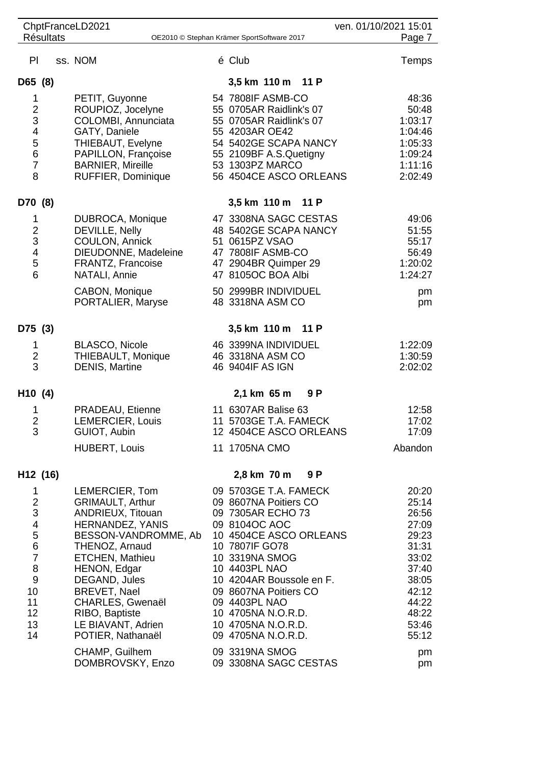|                          |                  | ChptFranceLD2021                                |                                                 | ven. 01/10/2021 15:01 |
|--------------------------|------------------|-------------------------------------------------|-------------------------------------------------|-----------------------|
|                          | <b>Résultats</b> |                                                 | OE2010 © Stephan Krämer SportSoftware 2017      | Page 7                |
| PI                       |                  | ss. NOM                                         | é Club                                          | Temps                 |
| D65 (8)                  |                  |                                                 | 3,5 km 110 m 11 P                               |                       |
| $\mathbf 1$              |                  | PETIT, Guyonne                                  | 54 7808IF ASMB-CO                               | 48:36                 |
| $\overline{\mathbf{c}}$  |                  | ROUPIOZ, Jocelyne                               | 55 0705AR Raidlink's 07                         | 50:48                 |
| 3                        |                  | COLOMBI, Annunciata                             | 55 0705AR Raidlink's 07                         | 1:03:17               |
| $\overline{\mathcal{L}}$ |                  | GATY, Daniele                                   | 55 4203AR OE42                                  | 1:04:46               |
| 5                        |                  | THIEBAUT, Evelyne                               | 54 5402GE SCAPA NANCY                           | 1:05:33               |
| 6<br>$\overline{7}$      |                  | PAPILLON, Françoise<br><b>BARNIER, Mireille</b> | 55 2109BF A.S.Quetigny<br>53 1303PZ MARCO       | 1:09:24<br>1:11:16    |
| 8                        |                  | RUFFIER, Dominique                              | 56 4504CE ASCO ORLEANS                          | 2:02:49               |
| D70 (8)                  |                  |                                                 | 3,5 km 110 m 11 P                               |                       |
| 1                        |                  | DUBROCA, Monique                                | 47 3308NA SAGC CESTAS                           | 49:06                 |
|                          |                  | DEVILLE, Nelly                                  | 48 5402GE SCAPA NANCY                           | 51:55                 |
| $\frac{2}{3}$            |                  | COULON, Annick                                  | 51 0615PZ VSAO                                  | 55:17                 |
| $\overline{\mathcal{A}}$ |                  | DIEUDONNE, Madeleine                            | 47 7808IF ASMB-CO                               | 56:49                 |
| 5<br>6                   |                  | FRANTZ, Francoise                               | 47 2904BR Quimper 29<br>47 8105OC BOA Albi      | 1:20:02               |
|                          |                  | NATALI, Annie                                   |                                                 | 1:24:27               |
|                          |                  | CABON, Monique<br>PORTALIER, Maryse             | 50 2999BR INDIVIDUEL<br>48 3318NA ASM CO        | pm<br>pm              |
| D75 (3)                  |                  |                                                 | 3,5 km 110 m 11 P                               |                       |
| 1                        |                  | <b>BLASCO, Nicole</b>                           | 46 3399NA INDIVIDUEL                            | 1:22:09               |
| $\boldsymbol{2}$         |                  | THIEBAULT, Monique                              | 46 3318NA ASM CO                                | 1:30:59               |
| 3                        |                  | <b>DENIS, Martine</b>                           | 46 9404IF AS IGN                                | 2:02:02               |
| H <sub>10</sub> (4)      |                  |                                                 | 2,1 km 65 m<br>9 P                              |                       |
| 1                        |                  | PRADEAU, Etienne                                | 11 6307AR Balise 63                             | 12:58                 |
| $\overline{2}$           |                  | LEMERCIER, Louis<br>GUIOT, Aubin                | 11 5703GE T.A. FAMECK<br>12 4504CE ASCO ORLEANS | 17:02<br>17:09        |
| 3                        |                  | <b>HUBERT, Louis</b>                            | 11 1705NA CMO                                   | Abandon               |
|                          |                  |                                                 |                                                 |                       |
| H12 (16)                 |                  |                                                 | 2,8 km 70 m<br>9 P                              |                       |
| 1                        |                  | LEMERCIER, Tom                                  | 09 5703GE T.A. FAMECK                           | 20:20                 |
| $\frac{2}{3}$            |                  | <b>GRIMAULT, Arthur</b>                         | 09 8607NA Poitiers CO                           | 25:14                 |
| $\overline{\mathcal{A}}$ |                  | ANDRIEUX, Titouan<br>HERNANDEZ, YANIS           | 09 7305AR ECHO 73<br>09 8104OC AOC              | 26:56<br>27:09        |
| 5                        |                  | BESSON-VANDROMME, Ab                            | 10 4504CE ASCO ORLEANS                          | 29:23                 |
| 6                        |                  | THENOZ, Arnaud                                  | 10 7807IF GO78                                  | 31:31                 |
| $\overline{7}$           |                  | ETCHEN, Mathieu                                 | 10 3319NA SMOG                                  | 33:02                 |
| 8                        |                  | HENON, Edgar                                    | 10 4403PL NAO                                   | 37:40                 |
| $\boldsymbol{9}$         |                  | DEGAND, Jules                                   | 10 4204AR Boussole en F.                        | 38:05                 |
| 10                       |                  | <b>BREVET, Nael</b>                             | 09 8607NA Poitiers CO                           | 42:12                 |
| 11<br>12                 |                  | CHARLES, Gwenaël                                | 09 4403PL NAO                                   | 44:22                 |
| 13                       |                  | RIBO, Baptiste<br>LE BIAVANT, Adrien            | 10 4705NA N.O.R.D.<br>10 4705NA N.O.R.D.        | 48:22<br>53:46        |
| 14                       |                  | POTIER, Nathanaël                               | 09 4705NA N.O.R.D.                              | 55:12                 |
|                          |                  |                                                 | 09 3319NA SMOG                                  |                       |
|                          |                  | CHAMP, Guilhem<br>DOMBROVSKY, Enzo              | 09 3308NA SAGC CESTAS                           | pm<br>pm              |
|                          |                  |                                                 |                                                 |                       |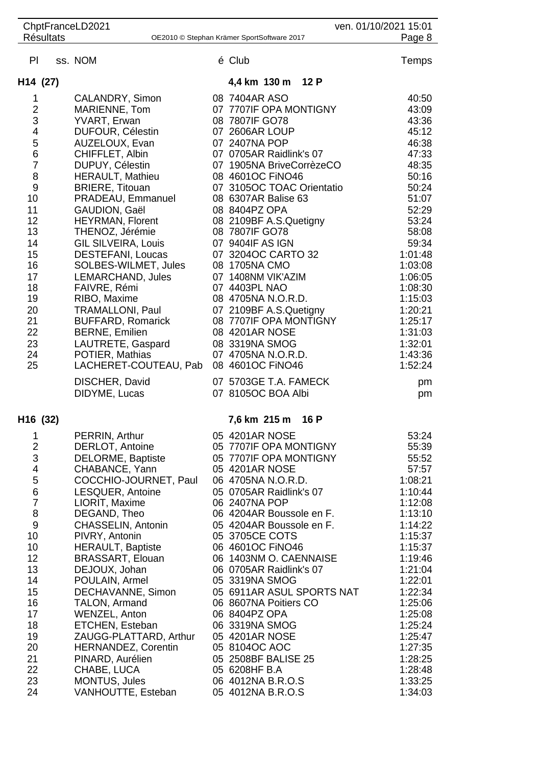|                         | ChptFranceLD2021<br>ven. 01/10/2021 15:01 |                                                           |  |                                                     |                    |  |  |  |
|-------------------------|-------------------------------------------|-----------------------------------------------------------|--|-----------------------------------------------------|--------------------|--|--|--|
|                         | <b>Résultats</b>                          |                                                           |  | OE2010 © Stephan Krämer SportSoftware 2017          | Page 8             |  |  |  |
| PI                      |                                           | ss. NOM                                                   |  | é Club                                              | Temps              |  |  |  |
| H <sub>14</sub> (27)    |                                           |                                                           |  | 4,4 km 130 m 12 P                                   |                    |  |  |  |
| 1                       |                                           | CALANDRY, Simon                                           |  | 08 7404AR ASO                                       | 40:50              |  |  |  |
| $\overline{2}$          |                                           | MARIENNE, Tom                                             |  | 07 7707IF OPA MONTIGNY                              | 43:09              |  |  |  |
| 3                       |                                           | YVART, Erwan                                              |  | 08 7807IF GO78                                      | 43:36              |  |  |  |
| $\overline{\mathbf{4}}$ |                                           | DUFOUR, Célestin                                          |  | 07 2606AR LOUP                                      | 45:12              |  |  |  |
| 5<br>6                  |                                           | AUZELOUX, Evan                                            |  | 07 2407NA POP                                       | 46:38              |  |  |  |
| $\overline{7}$          |                                           | CHIFFLET, Albin<br>DUPUY, Célestin                        |  | 07 0705AR Raidlink's 07<br>07 1905NA BriveCorrèzeCO | 47:33<br>48:35     |  |  |  |
| 8                       |                                           | <b>HERAULT, Mathieu</b>                                   |  | 08 4601OC FINO46                                    | 50:16              |  |  |  |
| 9                       |                                           | <b>BRIERE, Titouan</b>                                    |  | 07 3105OC TOAC Orientatio                           | 50:24              |  |  |  |
| 10                      |                                           | PRADEAU, Emmanuel                                         |  | 08 6307AR Balise 63                                 | 51:07              |  |  |  |
| 11                      |                                           | GAUDION, Gaël                                             |  | 08 8404PZ OPA                                       | 52:29              |  |  |  |
| 12                      |                                           | <b>HEYRMAN, Florent</b>                                   |  | 08 2109BF A.S.Quetigny                              | 53:24              |  |  |  |
| 13                      |                                           | THENOZ, Jérémie                                           |  | 08 7807IF GO78                                      | 58:08              |  |  |  |
| 14                      |                                           | <b>GIL SILVEIRA, Louis</b>                                |  | 07 9404IF AS IGN                                    | 59:34              |  |  |  |
| 15<br>16                |                                           | <b>DESTEFANI, Loucas</b><br>SOLBES-WILMET, Jules          |  | 07 3204OC CARTO 32<br>08 1705NA CMO                 | 1:01:48<br>1:03:08 |  |  |  |
| 17                      |                                           | LEMARCHAND, Jules                                         |  | 07 1408NM VIK'AZIM                                  | 1:06:05            |  |  |  |
| 18                      |                                           | FAIVRE, Rémi                                              |  | 07 4403PL NAO                                       | 1:08:30            |  |  |  |
| 19                      |                                           | RIBO, Maxime                                              |  | 08 4705NA N.O.R.D.                                  | 1:15:03            |  |  |  |
| 20                      |                                           | <b>TRAMALLONI, Paul</b>                                   |  | 07 2109BF A.S.Quetigny                              | 1:20:21            |  |  |  |
| 21                      |                                           | <b>BUFFARD, Romarick</b>                                  |  | 08 7707IF OPA MONTIGNY                              | 1:25:17            |  |  |  |
| 22                      |                                           | <b>BERNE, Emilien</b>                                     |  | 08 4201AR NOSE                                      | 1:31:03            |  |  |  |
| 23                      |                                           | LAUTRETE, Gaspard                                         |  | 08 3319NA SMOG                                      | 1:32:01            |  |  |  |
| 24<br>25                |                                           | POTIER, Mathias<br>LACHERET-COUTEAU, Pab 08 4601OC FINO46 |  | 07 4705NA N.O.R.D.                                  | 1:43:36<br>1:52:24 |  |  |  |
|                         |                                           |                                                           |  |                                                     |                    |  |  |  |
|                         |                                           | DISCHER, David<br>DIDYME, Lucas                           |  | 07 5703GE T.A. FAMECK<br>07 8105OC BOA Albi         | pm<br>pm           |  |  |  |
|                         |                                           |                                                           |  |                                                     |                    |  |  |  |
| H16 (32)                |                                           |                                                           |  | 7,6 km 215 m<br>16 P                                |                    |  |  |  |
| 1                       |                                           | PERRIN, Arthur                                            |  | 05 4201AR NOSE                                      | 53:24              |  |  |  |
| $\overline{\mathbf{c}}$ |                                           | DERLOT, Antoine                                           |  | 05 7707IF OPA MONTIGNY                              | 55:39              |  |  |  |
| 3<br>4                  |                                           | DELORME, Baptiste<br>CHABANCE, Yann                       |  | 05 7707IF OPA MONTIGNY<br>05 4201AR NOSE            | 55:52<br>57:57     |  |  |  |
| 5                       |                                           | COCCHIO-JOURNET, Paul                                     |  | 06 4705NA N.O.R.D.                                  | 1:08:21            |  |  |  |
| $\,$ 6 $\,$             |                                           | LESQUER, Antoine                                          |  | 05 0705AR Raidlink's 07                             | 1:10:44            |  |  |  |
| $\overline{7}$          |                                           | LIORIT, Maxime                                            |  | 06 2407NA POP                                       | 1:12:08            |  |  |  |
| 8                       |                                           | DEGAND, Theo                                              |  | 06 4204AR Boussole en F.                            | 1:13:10            |  |  |  |
| $\boldsymbol{9}$        |                                           | CHASSELIN, Antonin                                        |  | 05 4204AR Boussole en F.                            | 1:14:22            |  |  |  |
| 10                      |                                           | PIVRY, Antonin                                            |  | 05 3705CE COTS                                      | 1:15:37            |  |  |  |
| 10<br>12                |                                           | <b>HERAULT, Baptiste</b>                                  |  | 06 4601OC FINO46                                    | 1:15:37            |  |  |  |
| 13                      |                                           | <b>BRASSART, Elouan</b><br>DEJOUX, Johan                  |  | 06 1403NM O. CAENNAISE<br>06 0705AR Raidlink's 07   | 1:19:46<br>1:21:04 |  |  |  |
| 14                      |                                           | POULAIN, Armel                                            |  | 05 3319NA SMOG                                      | 1:22:01            |  |  |  |
| 15                      |                                           | DECHAVANNE, Simon                                         |  | 05 6911AR ASUL SPORTS NAT                           | 1:22:34            |  |  |  |
| 16                      |                                           | TALON, Armand                                             |  | 06 8607NA Poitiers CO                               | 1:25:06            |  |  |  |
| 17                      |                                           | WENZEL, Anton                                             |  | 06 8404PZ OPA                                       | 1:25:08            |  |  |  |
| 18                      |                                           | ETCHEN, Esteban                                           |  | 06 3319NA SMOG                                      | 1:25:24            |  |  |  |
| 19                      |                                           | ZAUGG-PLATTARD, Arthur                                    |  | 05 4201AR NOSE                                      | 1:25:47            |  |  |  |
| 20                      |                                           | <b>HERNANDEZ, Corentin</b>                                |  | 05 8104OC AOC                                       | 1:27:35            |  |  |  |
| 21<br>22                |                                           | PINARD, Aurélien<br>CHABE, LUCA                           |  | 05 2508BF BALISE 25<br>05 6208HF B.A                | 1:28:25<br>1:28:48 |  |  |  |
| 23                      |                                           | MONTUS, Jules                                             |  | 06 4012NA B.R.O.S                                   | 1:33:25            |  |  |  |
| 24                      |                                           | VANHOUTTE, Esteban                                        |  | 05 4012NA B.R.O.S                                   | 1:34:03            |  |  |  |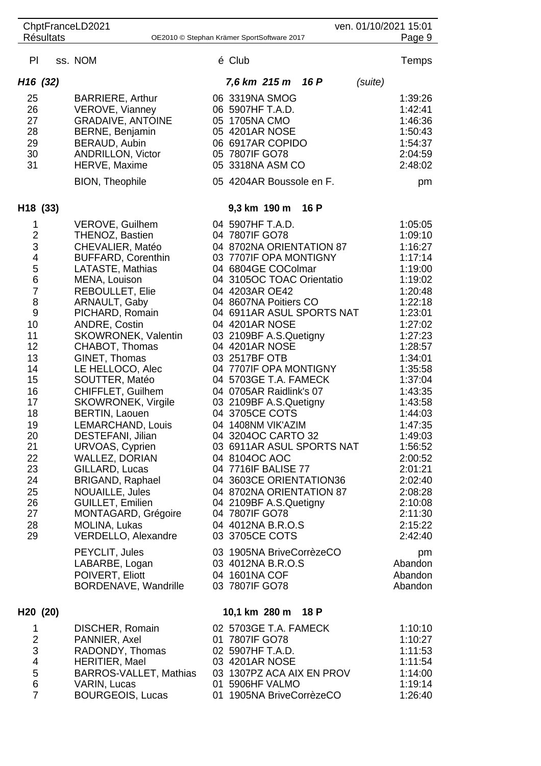| ven. 01/10/2021 15:01<br>ChptFranceLD2021<br><b>Résultats</b><br>OE2010 © Stephan Krämer SportSoftware 2017                                                                                        |  |                                                                                                                                                                                                                                                                                                                                                                                                                                                                                                                                                                                                                             |  |                                                                                                                                                                                                                                                                                                                                                                                                                                                                                                                                                                                                                                                                                         |      |         |                                                                                                                                                                                                                                                                                                                             |
|----------------------------------------------------------------------------------------------------------------------------------------------------------------------------------------------------|--|-----------------------------------------------------------------------------------------------------------------------------------------------------------------------------------------------------------------------------------------------------------------------------------------------------------------------------------------------------------------------------------------------------------------------------------------------------------------------------------------------------------------------------------------------------------------------------------------------------------------------------|--|-----------------------------------------------------------------------------------------------------------------------------------------------------------------------------------------------------------------------------------------------------------------------------------------------------------------------------------------------------------------------------------------------------------------------------------------------------------------------------------------------------------------------------------------------------------------------------------------------------------------------------------------------------------------------------------------|------|---------|-----------------------------------------------------------------------------------------------------------------------------------------------------------------------------------------------------------------------------------------------------------------------------------------------------------------------------|
|                                                                                                                                                                                                    |  |                                                                                                                                                                                                                                                                                                                                                                                                                                                                                                                                                                                                                             |  |                                                                                                                                                                                                                                                                                                                                                                                                                                                                                                                                                                                                                                                                                         |      |         | Page 9                                                                                                                                                                                                                                                                                                                      |
| PI                                                                                                                                                                                                 |  | ss. NOM                                                                                                                                                                                                                                                                                                                                                                                                                                                                                                                                                                                                                     |  | é Club                                                                                                                                                                                                                                                                                                                                                                                                                                                                                                                                                                                                                                                                                  |      |         | Temps                                                                                                                                                                                                                                                                                                                       |
| H <sub>16</sub> (32)                                                                                                                                                                               |  |                                                                                                                                                                                                                                                                                                                                                                                                                                                                                                                                                                                                                             |  | 7,6 km 215 m                                                                                                                                                                                                                                                                                                                                                                                                                                                                                                                                                                                                                                                                            | 16 P | (suite) |                                                                                                                                                                                                                                                                                                                             |
| 25<br>26<br>27<br>28<br>29<br>30<br>31                                                                                                                                                             |  | <b>BARRIERE, Arthur</b><br>VEROVE, Vianney<br><b>GRADAIVE, ANTOINE</b><br>BERNE, Benjamin<br>BERAUD, Aubin<br><b>ANDRILLON, Victor</b><br>HERVE, Maxime<br>BION, Theophile                                                                                                                                                                                                                                                                                                                                                                                                                                                  |  | 06 3319NA SMOG<br>06 5907HF T.A.D.<br>05 1705NA CMO<br>05 4201AR NOSE<br>06 6917AR COPIDO<br>05 7807IF GO78<br>05 3318NA ASM CO<br>05 4204AR Boussole en F.                                                                                                                                                                                                                                                                                                                                                                                                                                                                                                                             |      |         | 1:39:26<br>1:42:41<br>1:46:36<br>1:50:43<br>1:54:37<br>2:04:59<br>2:48:02<br>pm                                                                                                                                                                                                                                             |
|                                                                                                                                                                                                    |  |                                                                                                                                                                                                                                                                                                                                                                                                                                                                                                                                                                                                                             |  |                                                                                                                                                                                                                                                                                                                                                                                                                                                                                                                                                                                                                                                                                         |      |         |                                                                                                                                                                                                                                                                                                                             |
| H18 (33)                                                                                                                                                                                           |  |                                                                                                                                                                                                                                                                                                                                                                                                                                                                                                                                                                                                                             |  | 9,3 km 190 m                                                                                                                                                                                                                                                                                                                                                                                                                                                                                                                                                                                                                                                                            | 16 P |         |                                                                                                                                                                                                                                                                                                                             |
| 1<br>$\overline{c}$<br>3<br>4<br>$\frac{5}{6}$<br>$\overline{7}$<br>8<br>9<br>10<br>11<br>12<br>13<br>14<br>15<br>16<br>17<br>18<br>19<br>20<br>21<br>22<br>23<br>24<br>25<br>26<br>27<br>28<br>29 |  | <b>VEROVE, Guilhem</b><br>THENOZ, Bastien<br>CHEVALIER, Matéo<br><b>BUFFARD, Corenthin</b><br>LATASTE, Mathias<br>MENA, Louison<br><b>REBOULLET, Elie</b><br>ARNAULT, Gaby<br>PICHARD, Romain<br>ANDRE, Costin<br>SKOWRONEK, Valentin<br>CHABOT, Thomas<br>GINET, Thomas<br>LE HELLOCO, Alec<br>SOUTTER, Matéo<br>CHIFFLET, Guilhem<br><b>SKOWRONEK, Virgile</b><br><b>BERTIN, Laouen</b><br>LEMARCHAND, Louis<br>DESTEFANI, Jilian<br>URVOAS, Cyprien<br><b>WALLEZ, DORIAN</b><br>GILLARD, Lucas<br>BRIGAND, Raphael<br>NOUAILLE, Jules<br>GUILLET, Emilien<br>MONTAGARD, Grégoire<br>MOLINA, Lukas<br>VERDELLO, Alexandre |  | 04 5907HF T.A.D.<br>04 7807IF GO78<br>04 8702NA ORIENTATION 87<br>03 7707IF OPA MONTIGNY<br>04 6804GE COColmar<br>04 3105OC TOAC Orientatio<br>04 4203AR OE42<br>04 8607NA Poitiers CO<br>04 6911AR ASUL SPORTS NAT<br>04 4201AR NOSE<br>03 2109BF A.S.Quetigny<br>04 4201AR NOSE<br>03 2517BF OTB<br>04 7707IF OPA MONTIGNY<br>04 5703GE T.A. FAMECK<br>04 0705AR Raidlink's 07<br>03 2109BF A.S.Quetigny<br>04 3705CE COTS<br>04 1408NM VIK'AZIM<br>04 3204OC CARTO 32<br>03 6911AR ASUL SPORTS NAT<br>04 8104OC AOC<br>04 7716IF BALISE 77<br>04 3603CE ORIENTATION36<br>04 8702NA ORIENTATION 87<br>04 2109BF A.S.Quetigny<br>04 7807IF GO78<br>04 4012NA B.R.O.S<br>03 3705CE COTS |      |         | 1:05:05<br>1:09:10<br>1:16:27<br>1:17:14<br>1:19:00<br>1:19:02<br>1:20:48<br>1:22:18<br>1:23:01<br>1:27:02<br>1:27:23<br>1:28:57<br>1:34:01<br>1:35:58<br>1:37:04<br>1:43:35<br>1:43:58<br>1:44:03<br>1:47:35<br>1:49:03<br>1:56:52<br>2:00:52<br>2:01:21<br>2:02:40<br>2:08:28<br>2:10:08<br>2:11:30<br>2:15:22<br>2:42:40 |
|                                                                                                                                                                                                    |  | PEYCLIT, Jules<br>LABARBE, Logan<br>POIVERT, Eliott<br>BORDENAVE, Wandrille                                                                                                                                                                                                                                                                                                                                                                                                                                                                                                                                                 |  | 03 1905NA BriveCorrèzeCO<br>03 4012NA B.R.O.S<br>04 1601NA COF<br>03 7807IF GO78                                                                                                                                                                                                                                                                                                                                                                                                                                                                                                                                                                                                        |      |         | pm<br>Abandon<br>Abandon<br>Abandon                                                                                                                                                                                                                                                                                         |
| H20 (20)                                                                                                                                                                                           |  |                                                                                                                                                                                                                                                                                                                                                                                                                                                                                                                                                                                                                             |  | 10,1 km 280 m 18 P                                                                                                                                                                                                                                                                                                                                                                                                                                                                                                                                                                                                                                                                      |      |         |                                                                                                                                                                                                                                                                                                                             |
| 1<br>$\overline{\mathbf{c}}$<br>3<br>4<br>5<br>6<br>$\overline{7}$                                                                                                                                 |  | DISCHER, Romain<br>PANNIER, Axel<br>RADONDY, Thomas<br><b>HERITIER, Mael</b><br>BARROS-VALLET, Mathias<br>VARIN, Lucas<br><b>BOURGEOIS, Lucas</b>                                                                                                                                                                                                                                                                                                                                                                                                                                                                           |  | 02 5703GE T.A. FAMECK<br>01 7807IF GO78<br>02 5907HF T.A.D.<br>03 4201AR NOSE<br>03 1307PZ ACA AIX EN PROV<br>01 5906HF VALMO<br>01 1905NA BriveCorrèzeCO                                                                                                                                                                                                                                                                                                                                                                                                                                                                                                                               |      |         | 1:10:10<br>1:10:27<br>1:11:53<br>1:11:54<br>1:14:00<br>1:19:14<br>1:26:40                                                                                                                                                                                                                                                   |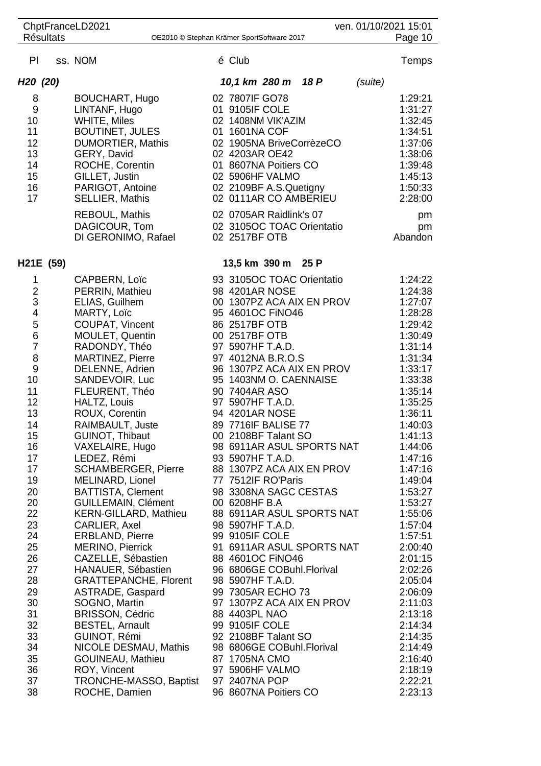|                                                                                                                                                                                                                                                |                  | ChptFranceLD2021                                                                                                                                                                                                                                                                                                                                                                                                                                                                                                                                                                                                                                                                                                                                                    |                                                                                                                                                                                                                                                                                                                                                                                                                                                                                                                                                                                                                                                                                                                                                                                                                  |         | ven. 01/10/2021 15:01                                                                                                                                                                                                                                                                                                                                                                         |
|------------------------------------------------------------------------------------------------------------------------------------------------------------------------------------------------------------------------------------------------|------------------|---------------------------------------------------------------------------------------------------------------------------------------------------------------------------------------------------------------------------------------------------------------------------------------------------------------------------------------------------------------------------------------------------------------------------------------------------------------------------------------------------------------------------------------------------------------------------------------------------------------------------------------------------------------------------------------------------------------------------------------------------------------------|------------------------------------------------------------------------------------------------------------------------------------------------------------------------------------------------------------------------------------------------------------------------------------------------------------------------------------------------------------------------------------------------------------------------------------------------------------------------------------------------------------------------------------------------------------------------------------------------------------------------------------------------------------------------------------------------------------------------------------------------------------------------------------------------------------------|---------|-----------------------------------------------------------------------------------------------------------------------------------------------------------------------------------------------------------------------------------------------------------------------------------------------------------------------------------------------------------------------------------------------|
|                                                                                                                                                                                                                                                | <b>Résultats</b> |                                                                                                                                                                                                                                                                                                                                                                                                                                                                                                                                                                                                                                                                                                                                                                     | OE2010 © Stephan Krämer SportSoftware 2017                                                                                                                                                                                                                                                                                                                                                                                                                                                                                                                                                                                                                                                                                                                                                                       |         | Page 10                                                                                                                                                                                                                                                                                                                                                                                       |
| PI                                                                                                                                                                                                                                             |                  | ss. NOM                                                                                                                                                                                                                                                                                                                                                                                                                                                                                                                                                                                                                                                                                                                                                             | é Club                                                                                                                                                                                                                                                                                                                                                                                                                                                                                                                                                                                                                                                                                                                                                                                                           |         | Temps                                                                                                                                                                                                                                                                                                                                                                                         |
| H <sub>20</sub> (20)                                                                                                                                                                                                                           |                  |                                                                                                                                                                                                                                                                                                                                                                                                                                                                                                                                                                                                                                                                                                                                                                     | 18 P<br>10,1 km 280 m                                                                                                                                                                                                                                                                                                                                                                                                                                                                                                                                                                                                                                                                                                                                                                                            | (suite) |                                                                                                                                                                                                                                                                                                                                                                                               |
| 8<br>9<br>10<br>11<br>12<br>13<br>14<br>15<br>16<br>17                                                                                                                                                                                         |                  | <b>BOUCHART, Hugo</b><br>LINTANF, Hugo<br><b>WHITE, Miles</b><br><b>BOUTINET, JULES</b><br><b>DUMORTIER, Mathis</b><br>GERY, David<br>ROCHE, Corentin<br>GILLET, Justin<br>PARIGOT, Antoine<br><b>SELLIER, Mathis</b><br>REBOUL, Mathis                                                                                                                                                                                                                                                                                                                                                                                                                                                                                                                             | 02 7807IF GO78<br>01 9105IF COLE<br>02 1408NM VIK'AZIM<br>01 1601NA COF<br>02 1905NA BriveCorrèzeCO<br>02 4203AR OE42<br>01 8607NA Poitiers CO<br>02 5906HF VALMO<br>02 2109BF A.S.Quetigny<br>02 0111AR CO AMBERIEU<br>02 0705AR Raidlink's 07                                                                                                                                                                                                                                                                                                                                                                                                                                                                                                                                                                  |         | 1:29:21<br>1:31:27<br>1:32:45<br>1:34:51<br>1:37:06<br>1:38:06<br>1:39:48<br>1:45:13<br>1:50:33<br>2:28:00<br>pm                                                                                                                                                                                                                                                                              |
|                                                                                                                                                                                                                                                |                  | DAGICOUR, Tom<br>DI GERONIMO, Rafael                                                                                                                                                                                                                                                                                                                                                                                                                                                                                                                                                                                                                                                                                                                                | 02 3105OC TOAC Orientatio<br>02 2517BF OTB                                                                                                                                                                                                                                                                                                                                                                                                                                                                                                                                                                                                                                                                                                                                                                       |         | pm<br>Abandon                                                                                                                                                                                                                                                                                                                                                                                 |
|                                                                                                                                                                                                                                                | H21E (59)        |                                                                                                                                                                                                                                                                                                                                                                                                                                                                                                                                                                                                                                                                                                                                                                     | 13,5 km 390 m 25 P                                                                                                                                                                                                                                                                                                                                                                                                                                                                                                                                                                                                                                                                                                                                                                                               |         |                                                                                                                                                                                                                                                                                                                                                                                               |
| 1<br>$\overline{\mathbf{c}}$<br>3<br>4<br>5<br>$\,6$<br>$\overline{7}$<br>8<br>$9$<br>10<br>11<br>12<br>13<br>14<br>15<br>16<br>17<br>17<br>19<br>20<br>20<br>22<br>23<br>24<br>25<br>26<br>27<br>28<br>29<br>30<br>31<br>32<br>33<br>34<br>35 |                  | CAPBERN, Loïc<br>PERRIN, Mathieu<br>ELIAS, Guilhem<br>MARTY, Loïc<br>COUPAT, Vincent<br>MOULET, Quentin<br>RADONDY, Théo<br>MARTINEZ, Pierre<br>DELENNE, Adrien<br>SANDEVOIR, Luc<br>FLEURENT, Théo<br>HALTZ, Louis<br>ROUX, Corentin<br>RAIMBAULT, Juste<br>GUINOT, Thibaut<br>VAXELAIRE, Hugo<br>LEDEZ, Rémi<br><b>SCHAMBERGER, Pierre</b><br>MELINARD, Lionel<br><b>BATTISTA, Clement</b><br><b>GUILLEMAIN, Clément</b><br><b>KERN-GILLARD, Mathieu</b><br>CARLIER, Axel<br>ERBLAND, Pierre<br><b>MERINO, Pierrick</b><br>CAZELLE, Sébastien<br>HANAUER, Sébastien<br><b>GRATTEPANCHE, Florent</b><br>ASTRADE, Gaspard<br>SOGNO, Martin<br><b>BRISSON, Cédric</b><br><b>BESTEL, Arnault</b><br>GUINOT, Rémi<br>NICOLE DESMAU, Mathis<br><b>GOUINEAU, Mathieu</b> | 93 3105OC TOAC Orientatio<br>98 4201AR NOSE<br>00 1307PZ ACA AIX EN PROV<br>95 4601OC FINO46<br>86 2517BF OTB<br>00 2517BF OTB<br>97 5907HF T.A.D.<br>97 4012NA B.R.O.S<br>96 1307PZ ACA AIX EN PROV<br>95 1403NM O. CAENNAISE<br>90 7404AR ASO<br>97 5907HF T.A.D.<br>94 4201AR NOSE<br>89 7716 F BALISE 77<br>00 2108BF Talant SO<br>98 6911AR ASUL SPORTS NAT<br>93 5907HF T.A.D.<br>88 1307PZ ACA AIX EN PROV<br>77 7512IF RO'Paris<br>98 3308NA SAGC CESTAS<br>00 6208HF B.A<br>88 6911AR ASUL SPORTS NAT<br>98 5907HF T.A.D.<br>99 9105IF COLE<br>91 6911AR ASUL SPORTS NAT<br>88 4601OC FINO46<br>96 6806GE COBuhl.Florival<br>98 5907HF T.A.D.<br>99 7305AR ECHO 73<br>97 1307PZ ACA AIX EN PROV<br>88 4403PL NAO<br>99 9105IF COLE<br>92 2108BF Talant SO<br>98 6806GE COBuhl.Florival<br>87 1705NA CMO |         | 1:24:22<br>1:24:38<br>1:27:07<br>1:28:28<br>1:29:42<br>1:30:49<br>1:31:14<br>1:31:34<br>1:33:17<br>1:33:38<br>1:35:14<br>1:35:25<br>1:36:11<br>1:40:03<br>1:41:13<br>1:44:06<br>1:47:16<br>1:47:16<br>1:49:04<br>1:53:27<br>1:53:27<br>1:55:06<br>1:57:04<br>1:57:51<br>2:00:40<br>2:01:15<br>2:02:26<br>2:05:04<br>2:06:09<br>2:11:03<br>2:13:18<br>2:14:34<br>2:14:35<br>2:14:49<br>2:16:40 |
| 36<br>37<br>38                                                                                                                                                                                                                                 |                  | ROY, Vincent<br>TRONCHE-MASSO, Baptist<br>ROCHE, Damien                                                                                                                                                                                                                                                                                                                                                                                                                                                                                                                                                                                                                                                                                                             | 97 5906HF VALMO<br>97 2407NA POP<br>96 8607NA Poitiers CO                                                                                                                                                                                                                                                                                                                                                                                                                                                                                                                                                                                                                                                                                                                                                        |         | 2:18:19<br>2:22:21<br>2:23:13                                                                                                                                                                                                                                                                                                                                                                 |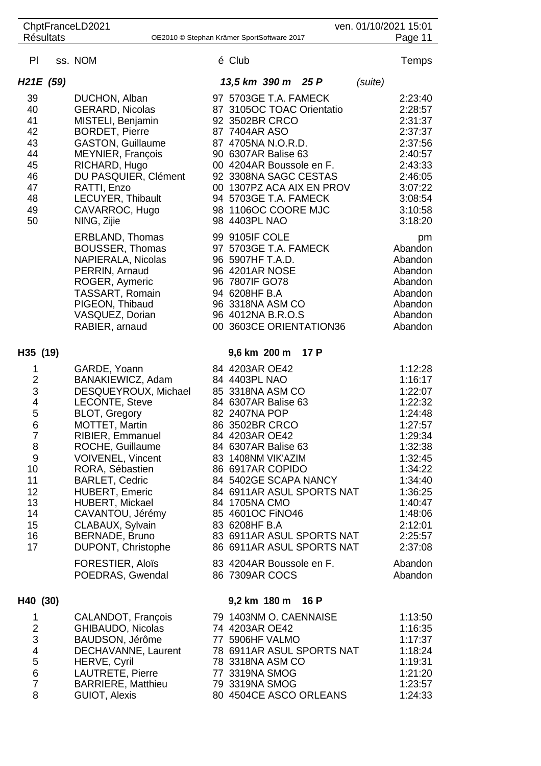|                                                                                                                                      | ChptFranceLD2021<br>ven. 01/10/2021 15:01<br><b>Résultats</b> |                                                                                                                                                                                                                                                                                                                                                                                                                                |  |                                                                                                                                                                                                                                                                                                                                                                                                                      |      |         |                                                                                                                                                                                                               |  |
|--------------------------------------------------------------------------------------------------------------------------------------|---------------------------------------------------------------|--------------------------------------------------------------------------------------------------------------------------------------------------------------------------------------------------------------------------------------------------------------------------------------------------------------------------------------------------------------------------------------------------------------------------------|--|----------------------------------------------------------------------------------------------------------------------------------------------------------------------------------------------------------------------------------------------------------------------------------------------------------------------------------------------------------------------------------------------------------------------|------|---------|---------------------------------------------------------------------------------------------------------------------------------------------------------------------------------------------------------------|--|
|                                                                                                                                      |                                                               |                                                                                                                                                                                                                                                                                                                                                                                                                                |  | OE2010 © Stephan Krämer SportSoftware 2017                                                                                                                                                                                                                                                                                                                                                                           |      |         | Page 11                                                                                                                                                                                                       |  |
| PI                                                                                                                                   |                                                               | ss. NOM                                                                                                                                                                                                                                                                                                                                                                                                                        |  | é Club                                                                                                                                                                                                                                                                                                                                                                                                               |      |         | Temps                                                                                                                                                                                                         |  |
| H <sub>21</sub> E (59)                                                                                                               |                                                               |                                                                                                                                                                                                                                                                                                                                                                                                                                |  | 13,5 km 390 m 25 P                                                                                                                                                                                                                                                                                                                                                                                                   |      | (suite) |                                                                                                                                                                                                               |  |
| 39<br>40<br>41<br>42<br>43<br>44<br>45<br>46<br>47<br>48<br>49<br>50                                                                 |                                                               | DUCHON, Alban<br><b>GERARD, Nicolas</b><br>MISTELI, Benjamin<br><b>BORDET, Pierre</b><br><b>GASTON, Guillaume</b><br><b>MEYNIER, François</b><br>RICHARD, Hugo<br>DU PASQUIER, Clément<br>RATTI, Enzo<br>LECUYER, Thibault<br>CAVARROC, Hugo<br>NING, Zijie<br>ERBLAND, Thomas<br><b>BOUSSER, Thomas</b><br>NAPIERALA, Nicolas                                                                                                 |  | 97 5703GE T.A. FAMECK<br>87 3105OC TOAC Orientatio<br>92 3502BR CRCO<br>87 7404AR ASO<br>87 4705NA N.O.R.D.<br>90 6307AR Balise 63<br>00 4204AR Boussole en F.<br>92 3308NA SAGC CESTAS<br>00 1307PZ ACA AIX EN PROV<br>94 5703GE T.A. FAMECK<br>98 1106OC COORE MJC<br>98 4403PL NAO<br>99 9105IF COLE<br>97 5703GE T.A. FAMECK<br>96 5907HF T.A.D.                                                                 |      |         | 2:23:40<br>2:28:57<br>2:31:37<br>2:37:37<br>2:37:56<br>2:40:57<br>2:43:33<br>2:46:05<br>3:07:22<br>3:08:54<br>3:10:58<br>3:18:20<br>pm<br>Abandon<br>Abandon                                                  |  |
|                                                                                                                                      |                                                               | PERRIN, Arnaud<br>ROGER, Aymeric<br>TASSART, Romain<br>PIGEON, Thibaud<br>VASQUEZ, Dorian<br>RABIER, arnaud                                                                                                                                                                                                                                                                                                                    |  | 96 4201AR NOSE<br>96 7807IF GO78<br>94 6208HF B.A<br>96 3318NA ASM CO<br>96 4012NA B.R.O.S<br>00 3603CE ORIENTATION36                                                                                                                                                                                                                                                                                                |      |         | Abandon<br>Abandon<br>Abandon<br>Abandon<br>Abandon<br>Abandon                                                                                                                                                |  |
| H35 (19)                                                                                                                             |                                                               |                                                                                                                                                                                                                                                                                                                                                                                                                                |  | 9,6 km 200 m                                                                                                                                                                                                                                                                                                                                                                                                         | 17 P |         |                                                                                                                                                                                                               |  |
| 1<br>$\frac{2}{3}$<br>$\frac{4}{5}$<br>$6\phantom{1}6$<br>7<br>8<br>$\boldsymbol{9}$<br>10<br>11<br>12<br>13<br>14<br>15<br>16<br>17 |                                                               | GARDE, Yoann<br>BANAKIEWICZ, Adam<br>DESQUEYROUX, Michael<br>LECONTE, Steve<br><b>BLOT, Gregory</b><br><b>MOTTET, Martin</b><br><b>RIBIER, Emmanuel</b><br>ROCHE, Guillaume<br><b>VOIVENEL, Vincent</b><br>RORA, Sébastien<br><b>BARLET, Cedric</b><br><b>HUBERT, Emeric</b><br>HUBERT, Mickael<br>CAVANTOU, Jérémy<br>CLABAUX, Sylvain<br>BERNADE, Bruno<br>DUPONT, Christophe<br><b>FORESTIER, Aloïs</b><br>POEDRAS, Gwendal |  | 84 4203AR OE42<br>84 4403PL NAO<br>85 3318NA ASM CO<br>84 6307AR Balise 63<br>82 2407NA POP<br>86 3502BR CRCO<br>84 4203AR OE42<br>84 6307AR Balise 63<br>83 1408NM VIK'AZIM<br>86 6917AR COPIDO<br>84 5402GE SCAPA NANCY<br>84 6911AR ASUL SPORTS NAT<br>84 1705NA CMO<br>85 4601OC FINO46<br>83 6208HF B.A<br>83 6911AR ASUL SPORTS NAT<br>86 6911AR ASUL SPORTS NAT<br>83 4204AR Boussole en F.<br>86 7309AR COCS |      |         | 1:12:28<br>1:16:17<br>1:22:07<br>1:22:32<br>1:24:48<br>1:27:57<br>1:29:34<br>1:32:38<br>1:32:45<br>1:34:22<br>1:34:40<br>1:36:25<br>1:40:47<br>1:48:06<br>2:12:01<br>2:25:57<br>2:37:08<br>Abandon<br>Abandon |  |
|                                                                                                                                      |                                                               |                                                                                                                                                                                                                                                                                                                                                                                                                                |  |                                                                                                                                                                                                                                                                                                                                                                                                                      |      |         |                                                                                                                                                                                                               |  |
| H40 (30)<br>1<br>$\overline{\mathbf{c}}$<br>3<br>$\overline{\mathbf{4}}$<br>5<br>$\overline{6}$<br>$\overline{7}$<br>8               |                                                               | CALANDOT, François<br>GHIBAUDO, Nicolas<br>BAUDSON, Jérôme<br>DECHAVANNE, Laurent<br>HERVE, Cyril<br>LAUTRETE, Pierre<br><b>BARRIERE, Matthieu</b><br>GUIOT, Alexis                                                                                                                                                                                                                                                            |  | 9,2 km 180 m 16 P<br>79 1403NM O. CAENNAISE<br>74 4203AR OE42<br>77 5906HF VALMO<br>78 6911AR ASUL SPORTS NAT<br>78 3318NA ASM CO<br>77 3319NA SMOG<br>79 3319NA SMOG<br>80 4504CE ASCO ORLEANS                                                                                                                                                                                                                      |      |         | 1:13:50<br>1:16:35<br>1:17:37<br>1:18:24<br>1:19:31<br>1:21:20<br>1:23:57<br>1:24:33                                                                                                                          |  |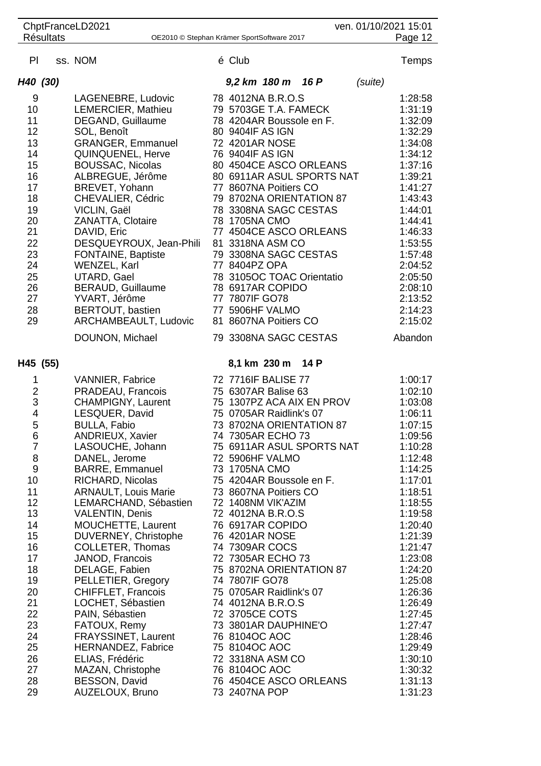|                         |                  | ChptFranceLD2021                                |                                         |                           |         | ven. 01/10/2021 15:01 |
|-------------------------|------------------|-------------------------------------------------|-----------------------------------------|---------------------------|---------|-----------------------|
|                         | <b>Résultats</b> | OE2010 © Stephan Krämer SportSoftware 2017      |                                         |                           |         | Page 12               |
| PI                      |                  | ss. NOM                                         | é Club                                  |                           |         | <b>Temps</b>          |
| H40 (30)                |                  |                                                 | 9,2 km 180 m 16 P                       |                           | (suite) |                       |
| 9                       |                  | LAGENEBRE, Ludovic                              | 78 4012NA B.R.O.S                       |                           |         | 1:28:58               |
| 10                      |                  | LEMERCIER, Mathieu                              | 79 5703GE T.A. FAMECK                   |                           |         | 1:31:19               |
| 11                      |                  | DEGAND, Guillaume                               | 78 4204AR Boussole en F.                |                           |         | 1:32:09               |
| 12                      |                  | SOL, Benoît                                     | 80 9404IF AS IGN                        |                           |         | 1:32:29               |
| 13                      |                  | <b>GRANGER, Emmanuel</b>                        | 72 4201AR NOSE                          |                           |         | 1:34:08               |
| 14                      |                  | <b>QUINQUENEL, Herve</b>                        | 76 9404IF AS IGN                        |                           |         | 1:34:12               |
| 15                      |                  | <b>BOUSSAC, Nicolas</b>                         |                                         | 80 4504CE ASCO ORLEANS    |         | 1:37:16               |
| 16                      |                  | ALBREGUE, Jérôme                                |                                         | 80 6911AR ASUL SPORTS NAT |         | 1:39:21               |
| 17                      |                  | BREVET, Yohann                                  | 77 8607NA Poitiers CO                   |                           |         | 1:41:27               |
| 18                      |                  | CHEVALIER, Cédric                               |                                         | 79 8702NA ORIENTATION 87  |         | 1:43:43               |
| 19                      |                  | VICLIN, Gaël                                    | 78 3308NA SAGC CESTAS                   |                           |         | 1:44:01               |
| 20                      |                  | <b>ZANATTA, Clotaire</b>                        | 78 1705NA CMO                           |                           |         | 1:44:41               |
| 21                      |                  | DAVID, Eric                                     |                                         | 77 4504CE ASCO ORLEANS    |         | 1:46:33               |
| 22                      |                  | DESQUEYROUX, Jean-Phili                         | 81 3318NA ASM CO                        |                           |         | 1:53:55               |
| 23                      |                  | FONTAINE, Baptiste                              | 79 3308NA SAGC CESTAS                   |                           |         | 1:57:48               |
| 24                      |                  | WENZEL, Karl                                    | 77 8404PZ OPA                           |                           |         | 2:04:52               |
| 25                      |                  | <b>UTARD, Gael</b>                              | 78 3105OC TOAC Orientatio               |                           |         | 2:05:50               |
| 26<br>27                |                  | BERAUD, Guillaume<br>YVART, Jérôme              | 78 6917AR COPIDO<br>77 7807IF GO78      |                           |         | 2:08:10<br>2:13:52    |
| 28                      |                  | BERTOUT, bastien                                | 77 5906HF VALMO                         |                           |         | 2:14:23               |
| 29                      |                  | ARCHAMBEAULT, Ludovic                           | 81 8607NA Poitiers CO                   |                           |         | 2:15:02               |
|                         |                  |                                                 |                                         |                           |         |                       |
|                         |                  | DOUNON, Michael                                 | 79 3308NA SAGC CESTAS                   |                           |         | Abandon               |
| H45 (55)                |                  |                                                 | 8,1 km 230 m                            | 14 P                      |         |                       |
| 1                       |                  | <b>VANNIER, Fabrice</b>                         | 72 7716IF BALISE 77                     |                           |         | 1:00:17               |
| $\overline{\mathbf{c}}$ |                  | PRADEAU, Francois                               | 75 6307AR Balise 63                     |                           |         | 1:02:10               |
| $\mathfrak{S}$          |                  | <b>CHAMPIGNY, Laurent</b>                       |                                         | 75 1307PZ ACA AIX EN PROV |         | 1:03:08               |
| $\overline{\mathbf{4}}$ |                  | LESQUER, David                                  | 75 0705AR Raidlink's 07                 |                           |         | 1:06:11               |
| 5                       |                  | <b>BULLA, Fabio</b>                             |                                         | 73 8702NA ORIENTATION 87  |         | 1:07:15               |
| 6                       |                  | ANDRIEUX, Xavier                                | 74 7305AR ECHO 73                       |                           |         | 1:09:56               |
| $\overline{7}$          |                  | LASOUCHE, Johann                                |                                         | 75 6911AR ASUL SPORTS NAT |         | 1:10:28               |
| 8                       |                  | DANEL, Jerome                                   | 72 5906HF VALMO                         |                           |         | 1:12:48               |
| $\boldsymbol{9}$        |                  | <b>BARRE, Emmanuel</b>                          | 73 1705NA CMO                           |                           |         | 1:14:25               |
| 10                      |                  | RICHARD, Nicolas                                | 75 4204AR Boussole en F.                |                           |         | 1:17:01               |
| 11                      |                  | <b>ARNAULT, Louis Marie</b>                     | 73 8607NA Poitiers CO                   |                           |         | 1:18:51               |
| 12<br>13                |                  | LEMARCHAND, Sébastien<br><b>VALENTIN, Denis</b> | 72 1408NM VIK'AZIM<br>72 4012NA B.R.O.S |                           |         | 1:18:55<br>1:19:58    |
|                         |                  | MOUCHETTE, Laurent                              |                                         |                           |         |                       |
| 14<br>15                |                  | DUVERNEY, Christophe                            | 76 6917AR COPIDO<br>76 4201AR NOSE      |                           |         | 1:20:40<br>1:21:39    |
| 16                      |                  | COLLETER, Thomas                                | 74 7309AR COCS                          |                           |         | 1:21:47               |
| 17                      |                  | JANOD, Francois                                 | 72 7305AR ECHO 73                       |                           |         | 1:23:08               |
| 18                      |                  | DELAGE, Fabien                                  |                                         | 75 8702NA ORIENTATION 87  |         | 1:24:20               |
| 19                      |                  | PELLETIER, Gregory                              | 74 7807IF GO78                          |                           |         | 1:25:08               |
| 20                      |                  | CHIFFLET, Francois                              | 75 0705AR Raidlink's 07                 |                           |         | 1:26:36               |
| 21                      |                  | LOCHET, Sébastien                               | 74 4012NA B.R.O.S                       |                           |         | 1:26:49               |
| 22                      |                  | PAIN, Sébastien                                 | 72 3705CE COTS                          |                           |         | 1:27:45               |
| 23                      |                  | FATOUX, Remy                                    | 73 3801AR DAUPHINE'O                    |                           |         | 1:27:47               |
| 24                      |                  | FRAYSSINET, Laurent                             | 76 8104OC AOC                           |                           |         | 1:28:46               |
| 25                      |                  | <b>HERNANDEZ, Fabrice</b>                       | 75 8104OC AOC                           |                           |         | 1:29:49               |
| 26                      |                  | ELIAS, Frédéric                                 | 72 3318NA ASM CO                        |                           |         | 1:30:10               |
| 27                      |                  | MAZAN, Christophe                               | 76 8104OC AOC                           |                           |         | 1:30:32               |
| 28                      |                  | BESSON, David                                   |                                         | 76 4504CE ASCO ORLEANS    |         | 1:31:13               |
| 29                      |                  | AUZELOUX, Bruno                                 | 73 2407NA POP                           |                           |         | 1:31:23               |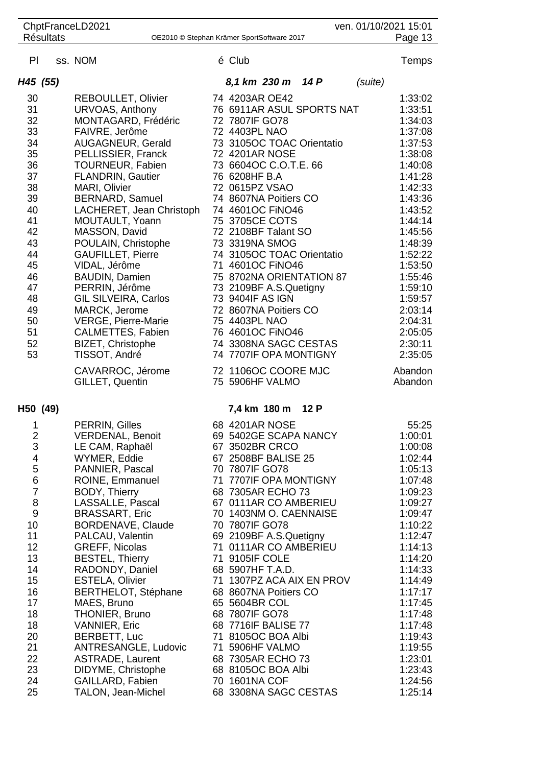| ChptFranceLD2021<br>ven. 01/10/2021 15:01<br>Page 13           |  |                                                 |  |                                               |      |         |                    |  |
|----------------------------------------------------------------|--|-------------------------------------------------|--|-----------------------------------------------|------|---------|--------------------|--|
| <b>Résultats</b><br>OE2010 © Stephan Krämer SportSoftware 2017 |  |                                                 |  |                                               |      |         |                    |  |
| PI                                                             |  | ss. NOM                                         |  | é Club                                        |      |         | <b>Temps</b>       |  |
| H45 (55)                                                       |  |                                                 |  | 8,1 km 230 m 14 P                             |      | (suite) |                    |  |
| 30                                                             |  | <b>REBOULLET, Olivier</b>                       |  | 74 4203AR OE42                                |      |         | 1:33:02            |  |
| 31                                                             |  | URVOAS, Anthony                                 |  | 76 6911AR ASUL SPORTS NAT                     |      |         | 1:33:51            |  |
| 32                                                             |  | MONTAGARD, Frédéric                             |  | 72 7807IF GO78                                |      |         | 1:34:03            |  |
| 33                                                             |  | FAIVRE, Jerôme                                  |  | 72 4403PL NAO                                 |      |         | 1:37:08            |  |
| 34                                                             |  | AUGAGNEUR, Gerald                               |  | 73 3105OC TOAC Orientatio                     |      |         | 1:37:53            |  |
| 35                                                             |  | PELLISSIER, Franck                              |  | 72 4201AR NOSE                                |      |         | 1:38:08            |  |
| 36                                                             |  | <b>TOURNEUR, Fabien</b>                         |  | 73 6604OC C.O.T.E. 66                         |      |         | 1:40:08            |  |
| 37                                                             |  | <b>FLANDRIN, Gautier</b>                        |  | 76 6208HF B.A                                 |      |         | 1:41:28            |  |
| 38<br>39                                                       |  | MARI, Olivier<br><b>BERNARD, Samuel</b>         |  | 72 0615PZ VSAO<br>74 8607NA Poitiers CO       |      |         | 1:42:33<br>1:43:36 |  |
| 40                                                             |  | LACHERET, Jean Christoph                        |  | 74 4601OC FiNO46                              |      |         | 1:43:52            |  |
| 41                                                             |  | MOUTAULT, Yoann                                 |  | 75 3705CE COTS                                |      |         | 1:44:14            |  |
| 42                                                             |  | MASSON, David                                   |  | 72 2108BF Talant SO                           |      |         | 1:45:56            |  |
| 43                                                             |  | POULAIN, Christophe                             |  | 73 3319NA SMOG                                |      |         | 1:48:39            |  |
| 44                                                             |  | <b>GAUFILLET, Pierre</b>                        |  | 74 3105OC TOAC Orientatio                     |      |         | 1:52:22            |  |
| 45                                                             |  | VIDAL, Jérôme                                   |  | 71 4601OC FINO46                              |      |         | 1:53:50            |  |
| 46                                                             |  | <b>BAUDIN, Damien</b>                           |  | 75 8702NA ORIENTATION 87                      |      |         | 1:55:46            |  |
| 47                                                             |  | PERRIN, Jérôme                                  |  | 73 2109BF A.S.Quetigny                        |      |         | 1:59:10            |  |
| 48                                                             |  | <b>GIL SILVEIRA, Carlos</b>                     |  | 73 9404IF AS IGN                              |      |         | 1:59:57            |  |
| 49                                                             |  | MARCK, Jerome                                   |  | 72 8607NA Poitiers CO                         |      |         | 2:03:14            |  |
| 50<br>51                                                       |  | <b>VERGE, Pierre-Marie</b><br>CALMETTES, Fabien |  | 75 4403PL NAO<br>76 4601OC FINO46             |      |         | 2:04:31<br>2:05:05 |  |
| 52                                                             |  | BIZET, Christophe                               |  | 74 3308NA SAGC CESTAS                         |      |         | 2:30:11            |  |
| 53                                                             |  | TISSOT, André                                   |  | 74 7707IF OPA MONTIGNY                        |      |         | 2:35:05            |  |
|                                                                |  | CAVARROC, Jérome                                |  | 72 1106OC COORE MJC                           |      |         | Abandon            |  |
|                                                                |  | GILLET, Quentin                                 |  | 75 5906HF VALMO                               |      |         | Abandon            |  |
| H50 (49)                                                       |  |                                                 |  | 7,4 km 180 m                                  | 12 P |         |                    |  |
| $\mathbf{1}$                                                   |  | PERRIN, Gilles                                  |  | 68 4201AR NOSE                                |      |         | 55:25              |  |
| $\overline{\mathbf{c}}$                                        |  | <b>VERDENAL, Benoit</b>                         |  | 69 5402GE SCAPA NANCY                         |      |         | 1:00:01            |  |
| 3                                                              |  | LE CAM, Raphaël                                 |  | 67 3502BR CRCO                                |      |         | 1:00:08            |  |
| 4<br>5                                                         |  | WYMER, Eddie<br>PANNIER, Pascal                 |  | 67 2508BF BALISE 25<br>70 7807IF GO78         |      |         | 1:02:44<br>1:05:13 |  |
| 6                                                              |  | ROINE, Emmanuel                                 |  | 71 7707IF OPA MONTIGNY                        |      |         | 1:07:48            |  |
| $\overline{7}$                                                 |  | <b>BODY, Thierry</b>                            |  | 68 7305AR ECHO 73                             |      |         | 1:09:23            |  |
| 8                                                              |  | LASSALLE, Pascal                                |  | 67 0111AR CO AMBERIEU                         |      |         | 1:09:27            |  |
| $9$                                                            |  | <b>BRASSART, Eric</b>                           |  | 70 1403NM O. CAENNAISE                        |      |         | 1:09:47            |  |
| 10                                                             |  | BORDENAVE, Claude                               |  | 70 7807IF GO78                                |      |         | 1:10:22            |  |
| 11                                                             |  | PALCAU, Valentin                                |  | 69 2109BF A.S.Quetigny                        |      |         | 1:12:47            |  |
| 12                                                             |  | <b>GREFF, Nicolas</b>                           |  | 71 0111AR CO AMBERIEU                         |      |         | 1:14:13            |  |
| 13                                                             |  | <b>BESTEL, Thierry</b>                          |  | 71 9105IF COLE                                |      |         | 1:14:20            |  |
| 14<br>15                                                       |  | RADONDY, Daniel<br><b>ESTELA, Olivier</b>       |  | 68 5907HF T.A.D.<br>71 1307PZ ACA AIX EN PROV |      |         | 1:14:33<br>1:14:49 |  |
| 16                                                             |  | <b>BERTHELOT, Stéphane</b>                      |  | 68 8607NA Poitiers CO                         |      |         | 1:17:17            |  |
| 17                                                             |  | MAES, Bruno                                     |  | 65 5604BR COL                                 |      |         | 1:17:45            |  |
| 18                                                             |  | <b>THONIER, Bruno</b>                           |  | 68 7807IF GO78                                |      |         | 1:17:48            |  |
| 18                                                             |  | <b>VANNIER, Eric</b>                            |  | 68 7716IF BALISE 77                           |      |         | 1:17:48            |  |
| 20                                                             |  | BERBETT, Luc                                    |  | 71 8105OC BOA Albi                            |      |         | 1:19:43            |  |
| 21                                                             |  | <b>ANTRESANGLE, Ludovic</b>                     |  | 71 5906HF VALMO                               |      |         | 1:19:55            |  |
| 22                                                             |  | <b>ASTRADE, Laurent</b>                         |  | 68 7305AR ECHO 73                             |      |         | 1:23:01            |  |
| 23                                                             |  | DIDYME, Christophe                              |  | 68 8105OC BOA Albi                            |      |         | 1:23:43            |  |
| 24                                                             |  | GAILLARD, Fabien                                |  | 70 1601NA COF                                 |      |         | 1:24:56            |  |
| 25                                                             |  | TALON, Jean-Michel                              |  | 68 3308NA SAGC CESTAS                         |      |         | 1:25:14            |  |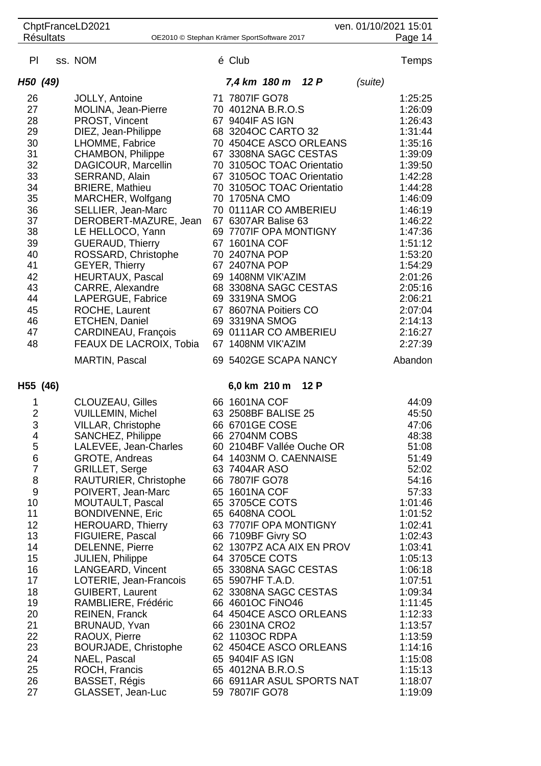| ChptFranceLD2021<br>ven. 01/10/2021 15:01<br>Page 14 |                                                                |                                                 |  |                                                    |      |         |                    |  |
|------------------------------------------------------|----------------------------------------------------------------|-------------------------------------------------|--|----------------------------------------------------|------|---------|--------------------|--|
|                                                      | <b>Résultats</b><br>OE2010 © Stephan Krämer SportSoftware 2017 |                                                 |  |                                                    |      |         |                    |  |
| PI                                                   |                                                                | ss. NOM                                         |  | é Club                                             |      |         | <b>Temps</b>       |  |
| H50 (49)                                             |                                                                |                                                 |  | 7,4 km 180 m                                       | 12P  | (suite) |                    |  |
| 26                                                   |                                                                | JOLLY, Antoine                                  |  | 71 7807IF GO78                                     |      |         | 1:25:25            |  |
| 27                                                   |                                                                | MOLINA, Jean-Pierre                             |  | 70 4012NA B.R.O.S                                  |      |         | 1:26:09            |  |
| 28                                                   |                                                                | PROST, Vincent                                  |  | 67 9404IF AS IGN                                   |      |         | 1:26:43            |  |
| 29                                                   |                                                                | DIEZ, Jean-Philippe                             |  | 68 3204OC CARTO 32                                 |      |         | 1:31:44            |  |
| 30                                                   |                                                                | LHOMME, Fabrice                                 |  | 70 4504CE ASCO ORLEANS                             |      |         | 1:35:16            |  |
| 31<br>32                                             |                                                                | <b>CHAMBON, Philippe</b><br>DAGICOUR, Marcellin |  | 67 3308NA SAGC CESTAS<br>70 3105OC TOAC Orientatio |      |         | 1:39:09<br>1:39:50 |  |
| 33                                                   |                                                                | SERRAND, Alain                                  |  | 67 3105OC TOAC Orientatio                          |      |         | 1:42:28            |  |
| 34                                                   |                                                                | <b>BRIERE, Mathieu</b>                          |  | 70 3105OC TOAC Orientatio                          |      |         | 1:44:28            |  |
| 35                                                   |                                                                | MARCHER, Wolfgang                               |  | 70 1705NA CMO                                      |      |         | 1:46:09            |  |
| 36                                                   |                                                                | SELLIER, Jean-Marc                              |  | 70 0111AR CO AMBERIEU                              |      |         | 1:46:19            |  |
| 37                                                   |                                                                | DEROBERT-MAZURE, Jean                           |  | 67 6307AR Balise 63                                |      |         | 1:46:22            |  |
| 38                                                   |                                                                | LE HELLOCO, Yann                                |  | 69 7707IF OPA MONTIGNY                             |      |         | 1:47:36            |  |
| 39                                                   |                                                                | <b>GUERAUD, Thierry</b>                         |  | 67 1601NA COF                                      |      |         | 1:51:12            |  |
| 40<br>41                                             |                                                                | ROSSARD, Christophe<br><b>GEYER, Thierry</b>    |  | 70 2407NA POP<br>67 2407NA POP                     |      |         | 1:53:20<br>1:54:29 |  |
| 42                                                   |                                                                | <b>HEURTAUX, Pascal</b>                         |  | 69 1408NM VIK'AZIM                                 |      |         | 2:01:26            |  |
| 43                                                   |                                                                | CARRE, Alexandre                                |  | 68 3308NA SAGC CESTAS                              |      |         | 2:05:16            |  |
| 44                                                   |                                                                | LAPERGUE, Fabrice                               |  | 69 3319NA SMOG                                     |      |         | 2:06:21            |  |
| 45                                                   |                                                                | ROCHE, Laurent                                  |  | 67 8607NA Poitiers CO                              |      |         | 2:07:04            |  |
| 46                                                   |                                                                | ETCHEN, Daniel                                  |  | 69 3319NA SMOG                                     |      |         | 2:14:13            |  |
| 47<br>48                                             |                                                                | CARDINEAU, François<br>FEAUX DE LACROIX, Tobia  |  | 69 0111AR CO AMBERIEU<br>67 1408NM VIK'AZIM        |      |         | 2:16:27<br>2:27:39 |  |
|                                                      |                                                                | <b>MARTIN, Pascal</b>                           |  | 69 5402GE SCAPA NANCY                              |      |         | Abandon            |  |
|                                                      |                                                                |                                                 |  |                                                    |      |         |                    |  |
| H55 (46)                                             |                                                                |                                                 |  | 6,0 km 210 m                                       | 12 P |         |                    |  |
| 1                                                    |                                                                | <b>CLOUZEAU, Gilles</b>                         |  | 66 1601NA COF                                      |      |         | 44:09              |  |
| $\overline{2}$<br>3                                  |                                                                | <b>VUILLEMIN, Michel</b>                        |  | 63 2508BF BALISE 25<br>66 6701GE COSE              |      |         | 45:50<br>47:06     |  |
| 4                                                    |                                                                | VILLAR, Christophe<br>SANCHEZ, Philippe         |  | 66 2704NM COBS                                     |      |         | 48:38              |  |
| 5                                                    |                                                                | LALEVEE, Jean-Charles                           |  | 60 2104BF Vallée Ouche OR                          |      |         | 51:08              |  |
| 6                                                    |                                                                | GROTE, Andreas                                  |  | 64 1403NM O. CAENNAISE                             |      |         | 51:49              |  |
| $\overline{7}$                                       |                                                                | <b>GRILLET, Serge</b>                           |  | 63 7404AR ASO                                      |      |         | 52:02              |  |
| 8                                                    |                                                                | RAUTURIER, Christophe                           |  | 66 7807IF GO78                                     |      |         | 54:16              |  |
| $9$<br>10                                            |                                                                | POIVERT, Jean-Marc<br><b>MOUTAULT, Pascal</b>   |  | 65 1601NA COF<br>65 3705CE COTS                    |      |         | 57:33<br>1:01:46   |  |
| 11                                                   |                                                                | <b>BONDIVENNE, Eric</b>                         |  | 65 6408NA COOL                                     |      |         | 1:01:52            |  |
| 12                                                   |                                                                | <b>HEROUARD, Thierry</b>                        |  | 63 7707IF OPA MONTIGNY                             |      |         | 1:02:41            |  |
| 13                                                   |                                                                | FIGUIERE, Pascal                                |  | 66 7109BF Givry SO                                 |      |         | 1:02:43            |  |
| 14                                                   |                                                                | <b>DELENNE, Pierre</b>                          |  | 62 1307PZ ACA AIX EN PROV                          |      |         | 1:03:41            |  |
| 15                                                   |                                                                | <b>JULIEN, Philippe</b>                         |  | 64 3705CE COTS                                     |      |         | 1:05:13            |  |
| 16<br>17                                             |                                                                | LANGEARD, Vincent<br>LOTERIE, Jean-Francois     |  | 65 3308NA SAGC CESTAS<br>65 5907HF T.A.D.          |      |         | 1:06:18<br>1:07:51 |  |
| 18                                                   |                                                                | <b>GUIBERT, Laurent</b>                         |  | 62 3308NA SAGC CESTAS                              |      |         | 1:09:34            |  |
| 19                                                   |                                                                | RAMBLIERE, Frédéric                             |  | 66 4601OC FINO46                                   |      |         | 1:11:45            |  |
| 20                                                   |                                                                | <b>REINEN, Franck</b>                           |  | 64 4504CE ASCO ORLEANS                             |      |         | 1:12:33            |  |
| 21                                                   |                                                                | BRUNAUD, Yvan                                   |  | 66 2301NA CRO2                                     |      |         | 1:13:57            |  |
| 22                                                   |                                                                | RAOUX, Pierre                                   |  | 62 1103OC RDPA                                     |      |         | 1:13:59            |  |
| 23<br>24                                             |                                                                | <b>BOURJADE, Christophe</b><br>NAEL, Pascal     |  | 62 4504CE ASCO ORLEANS<br>65 9404IF AS IGN         |      |         | 1:14:16<br>1:15:08 |  |
| 25                                                   |                                                                | ROCH, Francis                                   |  | 65 4012NA B.R.O.S                                  |      |         | 1:15:13            |  |
| 26                                                   |                                                                | BASSET, Régis                                   |  | 66 6911AR ASUL SPORTS NAT                          |      |         | 1:18:07            |  |
| 27                                                   |                                                                | GLASSET, Jean-Luc                               |  | 59 7807IF GO78                                     |      |         | 1:19:09            |  |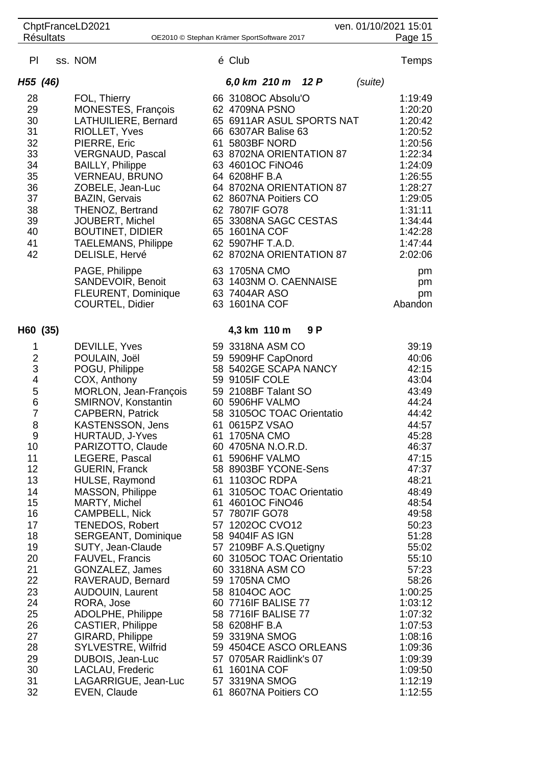| ChptFranceLD2021<br>ven. 01/10/2021 15:01<br>Page 15           |  |                                                       |  |                                            |     |         |                    |
|----------------------------------------------------------------|--|-------------------------------------------------------|--|--------------------------------------------|-----|---------|--------------------|
| <b>Résultats</b><br>OE2010 © Stephan Krämer SportSoftware 2017 |  |                                                       |  |                                            |     |         |                    |
| PI                                                             |  | ss. NOM                                               |  | é Club                                     |     |         | Temps              |
| H55 (46)                                                       |  |                                                       |  | 6,0 km 210 m 12 P                          |     | (suite) |                    |
| 28                                                             |  | FOL, Thierry                                          |  | 66 3108OC Absolu'O                         |     |         | 1:19:49            |
| 29                                                             |  | MONESTES, François                                    |  | 62 4709NA PSNO                             |     |         | 1:20:20            |
| 30                                                             |  | LATHUILIERE, Bernard                                  |  | 65 6911AR ASUL SPORTS NAT                  |     |         | 1:20:42            |
| 31                                                             |  | RIOLLET, Yves                                         |  | 66 6307AR Balise 63                        |     |         | 1:20:52            |
| 32<br>33                                                       |  | PIERRE, Eric<br><b>VERGNAUD, Pascal</b>               |  | 61 5803BF NORD<br>63 8702NA ORIENTATION 87 |     |         | 1:20:56<br>1:22:34 |
| 34                                                             |  | <b>BAILLY, Philippe</b>                               |  | 63 4601OC FINO46                           |     |         | 1:24:09            |
| 35                                                             |  | <b>VERNEAU, BRUNO</b>                                 |  | 64 6208HF B.A                              |     |         | 1:26:55            |
| 36                                                             |  | ZOBELE, Jean-Luc                                      |  | 64 8702NA ORIENTATION 87                   |     |         | 1:28:27            |
| 37                                                             |  | <b>BAZIN, Gervais</b>                                 |  | 62 8607NA Poitiers CO                      |     |         | 1:29:05            |
| 38                                                             |  | THENOZ, Bertrand                                      |  | 62 7807IF GO78                             |     |         | 1:31:11            |
| 39                                                             |  | JOUBERT, Michel                                       |  | 65 3308NA SAGC CESTAS                      |     |         | 1:34:44            |
| 40<br>41                                                       |  | <b>BOUTINET, DIDIER</b><br><b>TAELEMANS, Philippe</b> |  | 65 1601NA COF<br>62 5907HF T.A.D.          |     |         | 1:42:28<br>1:47:44 |
| 42                                                             |  | DELISLE, Hervé                                        |  | 62 8702NA ORIENTATION 87                   |     |         | 2:02:06            |
|                                                                |  | PAGE, Philippe                                        |  | 63 1705NA CMO                              |     |         | pm                 |
|                                                                |  | SANDEVOIR, Benoit                                     |  | 63 1403NM O. CAENNAISE                     |     |         | pm                 |
|                                                                |  | <b>FLEURENT, Dominique</b>                            |  | 63 7404AR ASO                              |     |         | pm                 |
|                                                                |  | <b>COURTEL, Didier</b>                                |  | 63 1601NA COF                              |     |         | Abandon            |
| H60 (35)                                                       |  |                                                       |  | 4,3 km 110 m                               | 9 P |         |                    |
| 1                                                              |  | DEVILLE, Yves                                         |  | 59 3318NA ASM CO                           |     |         | 39:19              |
| $\frac{2}{3}$                                                  |  | POULAIN, Joël                                         |  | 59 5909HF CapOnord                         |     |         | 40:06              |
|                                                                |  | POGU, Philippe                                        |  | 58 5402GE SCAPA NANCY                      |     |         | 42:15              |
| $\overline{\mathbf{4}}$<br>5                                   |  | COX, Anthony<br>MORLON, Jean-François                 |  | 59 9105IF COLE<br>59 2108BF Talant SO      |     |         | 43:04<br>43:49     |
| $\,$ 6 $\,$                                                    |  | SMIRNOV, Konstantin                                   |  | 60 5906HF VALMO                            |     |         | 44:24              |
| $\overline{7}$                                                 |  | CAPBERN, Patrick                                      |  | 58 3105OC TOAC Orientatio                  |     |         | 44:42              |
| 8                                                              |  | <b>KASTENSSON, Jens</b>                               |  | 61 0615PZ VSAO                             |     |         | 44:57              |
| 9                                                              |  | <b>HURTAUD, J-Yves</b>                                |  | 61 1705NA CMO                              |     |         | 45:28              |
| 10                                                             |  | PARIZOTTO, Claude                                     |  | 60 4705NA N.O.R.D.                         |     |         | 46:37              |
| 11<br>12                                                       |  | LEGERE, Pascal<br><b>GUERIN, Franck</b>               |  | 61 5906HF VALMO<br>58 8903BF YCONE-Sens    |     |         | 47:15<br>47:37     |
| 13                                                             |  | HULSE, Raymond                                        |  | 61 1103OC RDPA                             |     |         | 48:21              |
| 14                                                             |  | MASSON, Philippe                                      |  | 61 3105OC TOAC Orientatio                  |     |         | 48:49              |
| 15                                                             |  | MARTY, Michel                                         |  | 61 4601OC FINO46                           |     |         | 48:54              |
| 16                                                             |  | <b>CAMPBELL, Nick</b>                                 |  | 57 7807IF GO78                             |     |         | 49:58              |
| 17<br>18                                                       |  | <b>TENEDOS, Robert</b><br>SERGEANT, Dominique         |  | 57 1202OC CVO12<br>58 9404IF AS IGN        |     |         | 50:23<br>51:28     |
| 19                                                             |  | SUTY, Jean-Claude                                     |  | 57 2109BF A.S.Quetigny                     |     |         | 55:02              |
| 20                                                             |  | FAUVEL, Francis                                       |  | 60 3105OC TOAC Orientatio                  |     |         | 55:10              |
| 21                                                             |  | GONZALEZ, James                                       |  | 60 3318NA ASM CO                           |     |         | 57:23              |
| 22                                                             |  | RAVERAUD, Bernard                                     |  | 59 1705NA CMO                              |     |         | 58:26              |
| 23                                                             |  | <b>AUDOUIN, Laurent</b>                               |  | 58 8104OC AOC                              |     |         | 1:00:25            |
| 24                                                             |  | RORA, Jose                                            |  | 60 7716 F BALISE 77                        |     |         | 1:03:12            |
| 25<br>26                                                       |  | ADOLPHE, Philippe<br><b>CASTIER, Philippe</b>         |  | 58 7716IF BALISE 77<br>58 6208HF B.A       |     |         | 1:07:32<br>1:07:53 |
| 27                                                             |  | GIRARD, Philippe                                      |  | 59 3319NA SMOG                             |     |         | 1:08:16            |
| 28                                                             |  | SYLVESTRE, Wilfrid                                    |  | 59 4504CE ASCO ORLEANS                     |     |         | 1:09:36            |
| 29                                                             |  | DUBOIS, Jean-Luc                                      |  | 57 0705AR Raidlink's 07                    |     |         | 1:09:39            |
| 30                                                             |  | LACLAU, Frederic                                      |  | 61 1601NA COF                              |     |         | 1:09:50            |
| 31<br>32                                                       |  | LAGARRIGUE, Jean-Luc<br>EVEN, Claude                  |  | 57 3319NA SMOG<br>61 8607NA Poitiers CO    |     |         | 1:12:19<br>1:12:55 |
|                                                                |  |                                                       |  |                                            |     |         |                    |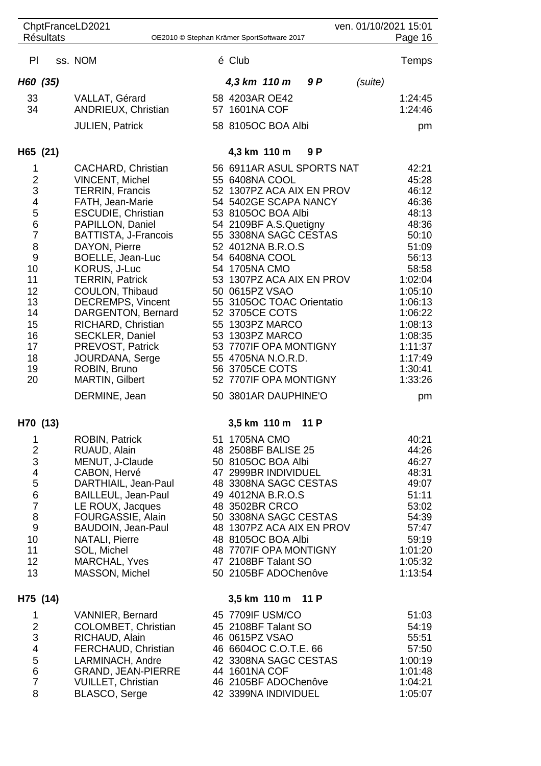| <b>Résultats</b>                                                                                                                                            | ChptFranceLD2021                                                                                                                                                                                                                                                                                                                                                                                                                                                   | ven. 01/10/2021 15:01<br>Page 16<br>OE2010 © Stephan Krämer SportSoftware 2017 |                                                                                                                                                                                                                                                                                                                                                                                                                                                                                            |      |  |         |                                                                                                                                                                                                            |
|-------------------------------------------------------------------------------------------------------------------------------------------------------------|--------------------------------------------------------------------------------------------------------------------------------------------------------------------------------------------------------------------------------------------------------------------------------------------------------------------------------------------------------------------------------------------------------------------------------------------------------------------|--------------------------------------------------------------------------------|--------------------------------------------------------------------------------------------------------------------------------------------------------------------------------------------------------------------------------------------------------------------------------------------------------------------------------------------------------------------------------------------------------------------------------------------------------------------------------------------|------|--|---------|------------------------------------------------------------------------------------------------------------------------------------------------------------------------------------------------------------|
| PI                                                                                                                                                          | ss. NOM                                                                                                                                                                                                                                                                                                                                                                                                                                                            |                                                                                | é Club                                                                                                                                                                                                                                                                                                                                                                                                                                                                                     |      |  |         | Temps                                                                                                                                                                                                      |
| H60 (35)                                                                                                                                                    |                                                                                                                                                                                                                                                                                                                                                                                                                                                                    |                                                                                | 4,3 km 110 m                                                                                                                                                                                                                                                                                                                                                                                                                                                                               | 9 P  |  | (suite) |                                                                                                                                                                                                            |
| 33<br>34                                                                                                                                                    | VALLAT, Gérard<br><b>ANDRIEUX, Christian</b>                                                                                                                                                                                                                                                                                                                                                                                                                       |                                                                                | 58 4203AR OE42<br>57 1601NA COF                                                                                                                                                                                                                                                                                                                                                                                                                                                            |      |  |         | 1:24:45<br>1:24:46                                                                                                                                                                                         |
|                                                                                                                                                             | <b>JULIEN, Patrick</b>                                                                                                                                                                                                                                                                                                                                                                                                                                             |                                                                                | 58 8105OC BOA Albi                                                                                                                                                                                                                                                                                                                                                                                                                                                                         |      |  |         | pm                                                                                                                                                                                                         |
| H65 (21)                                                                                                                                                    |                                                                                                                                                                                                                                                                                                                                                                                                                                                                    |                                                                                | 4,3 km 110 m                                                                                                                                                                                                                                                                                                                                                                                                                                                                               | 9 P  |  |         |                                                                                                                                                                                                            |
| 1<br>$\overline{c}$<br>3<br>$\overline{\mathbf{4}}$<br>5<br>6<br>7<br>8<br>$\overline{9}$<br>10<br>11<br>12<br>13<br>14<br>15<br>16<br>17<br>18<br>19<br>20 | CACHARD, Christian<br><b>VINCENT, Michel</b><br><b>TERRIN, Francis</b><br>FATH, Jean-Marie<br>ESCUDIE, Christian<br>PAPILLON, Daniel<br>BATTISTA, J-Francois<br>DAYON, Pierre<br>BOELLE, Jean-Luc<br>KORUS, J-Luc<br><b>TERRIN, Patrick</b><br>COULON, Thibaud<br><b>DECREMPS, Vincent</b><br>DARGENTON, Bernard<br>RICHARD, Christian<br><b>SECKLER, Daniel</b><br>PREVOST, Patrick<br>JOURDANA, Serge<br>ROBIN, Bruno<br><b>MARTIN, Gilbert</b><br>DERMINE, Jean |                                                                                | 56 6911AR ASUL SPORTS NAT<br>55 6408NA COOL<br>52 1307PZ ACA AIX EN PROV<br>54 5402GE SCAPA NANCY<br>53 8105OC BOA Albi<br>54 2109BF A.S.Quetigny<br>55 3308NA SAGC CESTAS<br>52 4012NA B.R.O.S<br>54 6408NA COOL<br>54 1705NA CMO<br>53 1307PZ ACA AIX EN PROV<br>50 0615PZ VSAO<br>55 3105OC TOAC Orientatio<br>52 3705CE COTS<br>55 1303PZ MARCO<br>53 1303PZ MARCO<br>53 7707IF OPA MONTIGNY<br>55 4705NA N.O.R.D.<br>56 3705CE COTS<br>52 7707IF OPA MONTIGNY<br>50 3801AR DAUPHINE'O |      |  |         | 42:21<br>45:28<br>46:12<br>46:36<br>48:13<br>48:36<br>50:10<br>51:09<br>56:13<br>58:58<br>1:02:04<br>1:05:10<br>1:06:13<br>1:06:22<br>1:08:13<br>1:08:35<br>1:11:37<br>1:17:49<br>1:30:41<br>1:33:26<br>pm |
| H70 (13)                                                                                                                                                    |                                                                                                                                                                                                                                                                                                                                                                                                                                                                    |                                                                                | 3,5 km 110 m                                                                                                                                                                                                                                                                                                                                                                                                                                                                               | 11 P |  |         |                                                                                                                                                                                                            |
| 1<br>$\overline{c}$<br>3<br>4<br>5<br>$\overline{6}$<br>$\overline{7}$<br>8<br>$\overline{9}$<br>10<br>11<br>12<br>13                                       | <b>ROBIN, Patrick</b><br>RUAUD, Alain<br>MENUT, J-Claude<br>CABON, Hervé<br>DARTHIAIL, Jean-Paul<br>BAILLEUL, Jean-Paul<br>LE ROUX, Jacques<br>FOURGASSIE, Alain<br>BAUDOIN, Jean-Paul<br><b>NATALI, Pierre</b><br>SOL, Michel<br>MARCHAL, Yves<br>MASSON, Michel                                                                                                                                                                                                  |                                                                                | 51 1705NA CMO<br>48 2508BF BALISE 25<br>50 8105OC BOA Albi<br>47 2999BR INDIVIDUEL<br>48 3308NA SAGC CESTAS<br>49 4012NA B.R.O.S<br>48 3502BR CRCO<br>50 3308NA SAGC CESTAS<br>48 1307PZ ACA AIX EN PROV<br>48 8105OC BOA Albi<br>48 7707IF OPA MONTIGNY<br>47 2108BF Talant SO<br>50 2105BF ADOChenôve                                                                                                                                                                                    |      |  |         | 40:21<br>44:26<br>46:27<br>48:31<br>49:07<br>51:11<br>53:02<br>54:39<br>57:47<br>59:19<br>1:01:20<br>1:05:32<br>1:13:54                                                                                    |
| H75 (14)<br>1<br>$\frac{2}{3}$<br>$\overline{\mathbf{4}}$<br>5<br>6<br>$\overline{7}$<br>8                                                                  | VANNIER, Bernard<br>COLOMBET, Christian<br>RICHAUD, Alain<br>FERCHAUD, Christian<br>LARMINACH, Andre<br>GRAND, JEAN-PIERRE<br><b>VUILLET, Christian</b><br>BLASCO, Serge                                                                                                                                                                                                                                                                                           |                                                                                | 3,5 km 110 m 11 P<br>45 7709IF USM/CO<br>45 2108BF Talant SO<br>46 0615PZ VSAO<br>46 6604OC C.O.T.E. 66<br>42 3308NA SAGC CESTAS<br>44 1601NA COF<br>46 2105BF ADOChenôve<br>42 3399NA INDIVIDUEL                                                                                                                                                                                                                                                                                          |      |  |         | 51:03<br>54:19<br>55:51<br>57:50<br>1:00:19<br>1:01:48<br>1:04:21<br>1:05:07                                                                                                                               |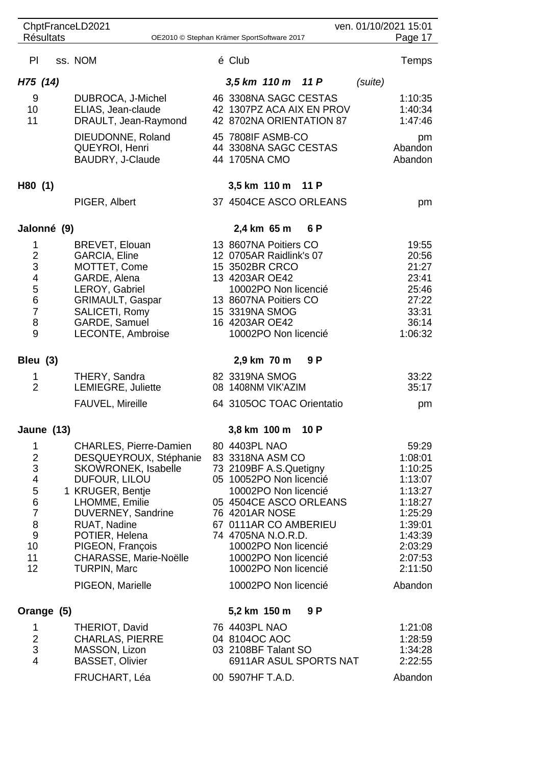| ChptFranceLD2021<br>ven. 01/10/2021 15:01                      |  |  |                                                      |  |                                              |      |         |                    |
|----------------------------------------------------------------|--|--|------------------------------------------------------|--|----------------------------------------------|------|---------|--------------------|
| <b>Résultats</b><br>OE2010 © Stephan Krämer SportSoftware 2017 |  |  |                                                      |  |                                              |      |         | Page 17            |
| PI                                                             |  |  | ss. NOM                                              |  | é Club                                       |      |         | Temps              |
| H75 (14)                                                       |  |  |                                                      |  | 3,5 km 110 m 11 P                            |      | (suite) |                    |
| 9                                                              |  |  | DUBROCA, J-Michel                                    |  | 46 3308NA SAGC CESTAS                        |      |         | 1:10:35            |
| 10 <sup>°</sup>                                                |  |  | ELIAS, Jean-claude                                   |  | 42 1307PZ ACA AIX EN PROV                    |      |         | 1:40:34            |
| 11                                                             |  |  | DRAULT, Jean-Raymond                                 |  | 42 8702NA ORIENTATION 87                     |      |         | 1:47:46            |
|                                                                |  |  | DIEUDONNE, Roland                                    |  | 45 7808IF ASMB-CO<br>44 3308NA SAGC CESTAS   |      |         | pm<br>Abandon      |
|                                                                |  |  | QUEYROI, Henri<br>BAUDRY, J-Claude                   |  | 44 1705NA CMO                                |      |         | Abandon            |
|                                                                |  |  |                                                      |  |                                              |      |         |                    |
| H80 (1)                                                        |  |  |                                                      |  | 3,5 km 110 m                                 | 11 P |         |                    |
|                                                                |  |  | PIGER, Albert                                        |  | 37 4504CE ASCO ORLEANS                       |      |         | pm                 |
| Jalonné (9)                                                    |  |  |                                                      |  | 2,4 km 65 m                                  | 6 P  |         |                    |
| 1                                                              |  |  | BREVET, Elouan                                       |  | 13 8607NA Poitiers CO                        |      |         | 19:55              |
| $\frac{2}{3}$                                                  |  |  | <b>GARCIA, Eline</b>                                 |  | 12 0705AR Raidlink's 07                      |      |         | 20:56              |
| $\overline{\mathcal{L}}$                                       |  |  | MOTTET, Come<br>GARDE, Alena                         |  | 15 3502BR CRCO<br>13 4203AR OE42             |      |         | 21:27<br>23:41     |
| $\frac{5}{6}$                                                  |  |  | LEROY, Gabriel                                       |  | 10002PO Non licencié                         |      |         | 25:46              |
|                                                                |  |  | <b>GRIMAULT, Gaspar</b>                              |  | 13 8607NA Poitiers CO                        |      |         | 27:22              |
| $\overline{7}$<br>8                                            |  |  | SALICETI, Romy<br>GARDE, Samuel                      |  | 15 3319NA SMOG<br>16 4203AR OE42             |      |         | 33:31<br>36:14     |
| 9                                                              |  |  | LECONTE, Ambroise                                    |  | 10002PO Non licencié                         |      |         | 1:06:32            |
| Bleu (3)                                                       |  |  |                                                      |  | 2,9 km 70 m                                  | 9 P  |         |                    |
| 1                                                              |  |  | THERY, Sandra                                        |  | 82 3319NA SMOG                               |      |         | 33:22              |
| $\overline{2}$                                                 |  |  | LEMIEGRE, Juliette                                   |  | 08 1408NM VIK'AZIM                           |      |         | 35:17              |
|                                                                |  |  | FAUVEL, Mireille                                     |  | 64 3105OC TOAC Orientatio                    |      |         | pm                 |
| Jaune (13)                                                     |  |  |                                                      |  | 3,8 km 100 m 10 P                            |      |         |                    |
| 1                                                              |  |  | <b>CHARLES, Pierre-Damien</b>                        |  | 80 4403PL NAO                                |      |         | 59:29              |
| $\overline{\mathbf{c}}$<br>3                                   |  |  | DESQUEYROUX, Stéphanie<br><b>SKOWRONEK, Isabelle</b> |  | 83 3318NA ASM CO<br>73 2109BF A.S.Quetigny   |      |         | 1:08:01<br>1:10:25 |
| 4                                                              |  |  | DUFOUR, LILOU                                        |  | 05 10052PO Non licencié                      |      |         | 1:13:07            |
| $\frac{5}{6}$                                                  |  |  | 1 KRUGER, Bentje                                     |  | 10002PO Non licencié                         |      |         | 1:13:27            |
| $\overline{7}$                                                 |  |  | LHOMME, Emilie<br>DUVERNEY, Sandrine                 |  | 05 4504CE ASCO ORLEANS<br>76 4201AR NOSE     |      |         | 1:18:27<br>1:25:29 |
| 8                                                              |  |  | RUAT, Nadine                                         |  | 67 0111AR CO AMBERIEU                        |      |         | 1:39:01            |
| $\boldsymbol{9}$                                               |  |  | POTIER, Helena                                       |  | 74 4705NA N.O.R.D.                           |      |         | 1:43:39            |
| 10                                                             |  |  | PIGEON, François                                     |  | 10002PO Non licencié                         |      |         | 2:03:29            |
| 11<br>12                                                       |  |  | CHARASSE, Marie-Noëlle<br><b>TURPIN, Marc</b>        |  | 10002PO Non licencié<br>10002PO Non licencié |      |         | 2:07:53<br>2:11:50 |
|                                                                |  |  | PIGEON, Marielle                                     |  | 10002PO Non licencié                         |      |         | Abandon            |
| Orange (5)                                                     |  |  |                                                      |  | 5,2 km 150 m                                 | 9 P  |         |                    |
| 1                                                              |  |  | THERIOT, David                                       |  | 76 4403PL NAO                                |      |         | 1:21:08            |
| 2                                                              |  |  | <b>CHARLAS, PIERRE</b>                               |  | 04 8104OC AOC                                |      |         | 1:28:59            |
| 3                                                              |  |  | MASSON, Lizon                                        |  | 03 2108BF Talant SO                          |      |         | 1:34:28            |
| $\overline{4}$                                                 |  |  | <b>BASSET, Olivier</b>                               |  | 6911AR ASUL SPORTS NAT                       |      |         | 2:22:55            |
|                                                                |  |  | FRUCHART, Léa                                        |  | 00 5907HF T.A.D.                             |      |         | Abandon            |